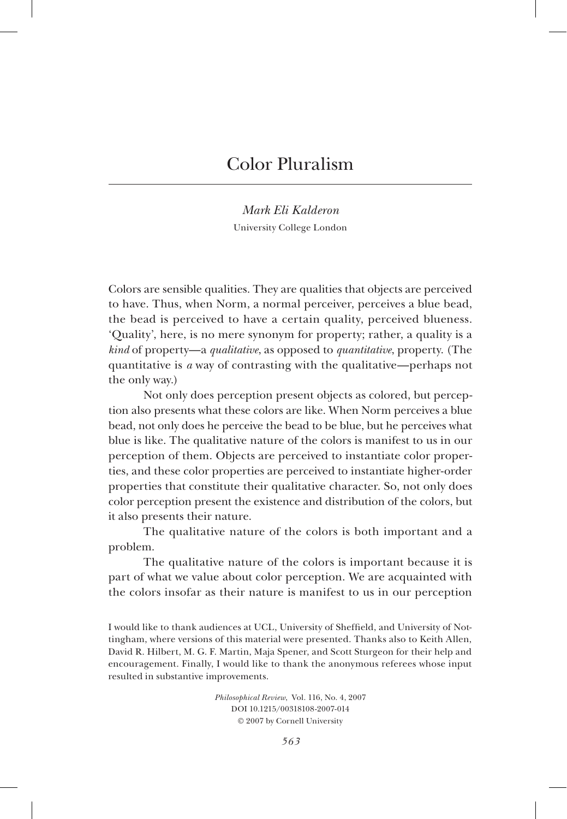*Mark Eli Kalderon* University College London

Colors are sensible qualities. They are qualities that objects are perceived to have. Thus, when Norm, a normal perceiver, perceives a blue bead, the bead is perceived to have a certain quality, perceived blueness. 'Quality', here, is no mere synonym for property; rather, a quality is a *kind* of property—a *qualitative*, as opposed to *quantitative*, property. (The quantitative is *a* way of contrasting with the qualitative—perhaps not the only way.)

Not only does perception present objects as colored, but perception also presents what these colors are like. When Norm perceives a blue bead, not only does he perceive the bead to be blue, but he perceives what blue is like. The qualitative nature of the colors is manifest to us in our perception of them. Objects are perceived to instantiate color properties, and these color properties are perceived to instantiate higher-order properties that constitute their qualitative character. So, not only does color perception present the existence and distribution of the colors, but it also presents their nature.

The qualitative nature of the colors is both important and a problem.

The qualitative nature of the colors is important because it is part of what we value about color perception. We are acquainted with the colors insofar as their nature is manifest to us in our perception

I would like to thank audiences at UCL, University of Sheffield, and University of Nottingham, where versions of this material were presented. Thanks also to Keith Allen, David R. Hilbert, M. G. F. Martin, Maja Spener, and Scott Sturgeon for their help and encouragement. Finally, I would like to thank the anonymous referees whose input resulted in substantive improvements.

> *Philosophical Review*, Vol. 116, No. 4, 2007 DOI 10.1215/00318108-2007-014 © 2007 by Cornell University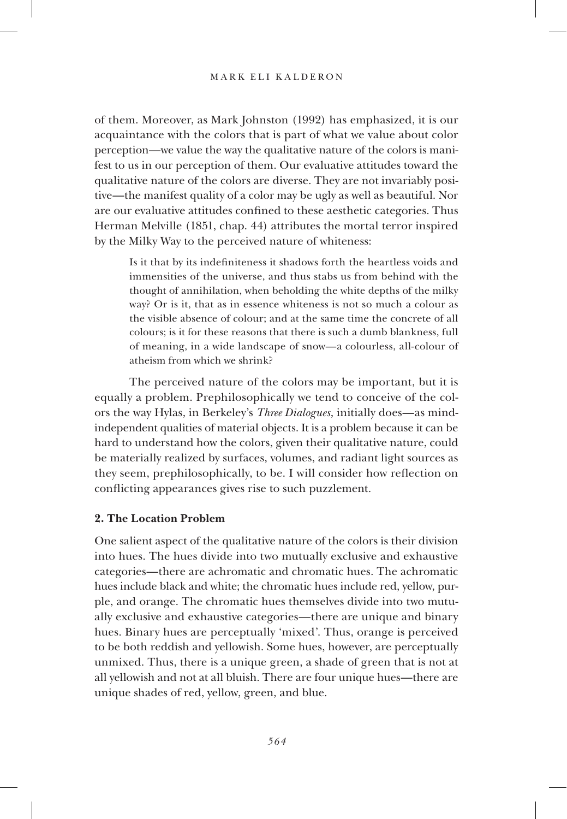of them. Moreover, as Mark Johnston (1992) has emphasized, it is our acquaintance with the colors that is part of what we value about color perception—we value the way the qualitative nature of the colors is manifest to us in our perception of them. Our evaluative attitudes toward the qualitative nature of the colors are diverse. They are not invariably positive—the manifest quality of a color may be ugly as well as beautiful. Nor are our evaluative attitudes confined to these aesthetic categories. Thus Herman Melville (1851, chap. 44) attributes the mortal terror inspired by the Milky Way to the perceived nature of whiteness:

Is it that by its indefiniteness it shadows forth the heartless voids and immensities of the universe, and thus stabs us from behind with the thought of annihilation, when beholding the white depths of the milky way? Or is it, that as in essence whiteness is not so much a colour as the visible absence of colour; and at the same time the concrete of all colours; is it for these reasons that there is such a dumb blankness, full of meaning, in a wide landscape of snow—a colourless, all-colour of atheism from which we shrink?

The perceived nature of the colors may be important, but it is equally a problem. Prephilosophically we tend to conceive of the colors the way Hylas, in Berkeley's *Three Dialogues*, initially does—as mindindependent qualities of material objects. It is a problem because it can be hard to understand how the colors, given their qualitative nature, could be materially realized by surfaces, volumes, and radiant light sources as they seem, prephilosophically, to be. I will consider how reflection on conflicting appearances gives rise to such puzzlement.

#### **2. The Location Problem**

One salient aspect of the qualitative nature of the colors is their division into hues. The hues divide into two mutually exclusive and exhaustive categories—there are achromatic and chromatic hues. The achromatic hues include black and white; the chromatic hues include red, yellow, purple, and orange. The chromatic hues themselves divide into two mutually exclusive and exhaustive categories—there are unique and binary hues. Binary hues are perceptually 'mixed'. Thus, orange is perceived to be both reddish and yellowish. Some hues, however, are perceptually unmixed. Thus, there is a unique green, a shade of green that is not at all yellowish and not at all bluish. There are four unique hues—there are unique shades of red, yellow, green, and blue.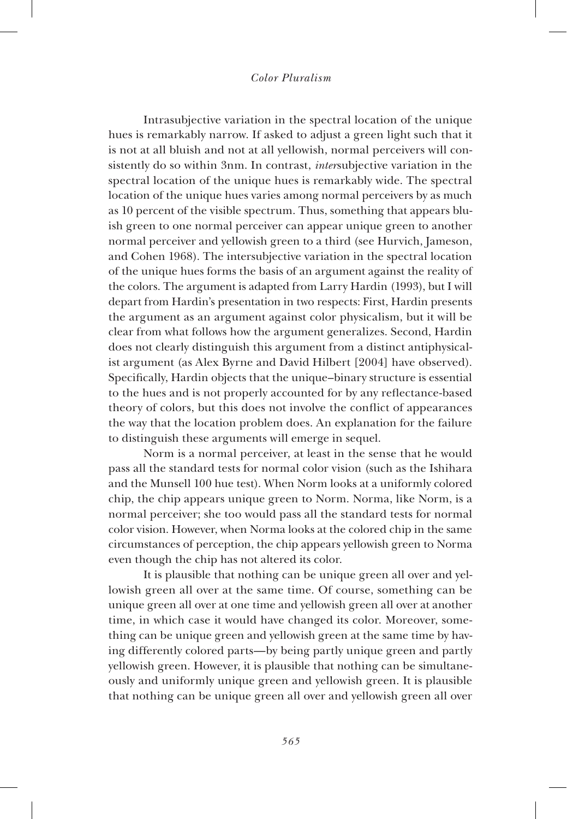Intrasubjective variation in the spectral location of the unique hues is remarkably narrow. If asked to adjust a green light such that it is not at all bluish and not at all yellowish, normal perceivers will consistently do so within 3nm. In contrast, *inter*subjective variation in the spectral location of the unique hues is remarkably wide. The spectral location of the unique hues varies among normal perceivers by as much as 10 percent of the visible spectrum. Thus, something that appears bluish green to one normal perceiver can appear unique green to another normal perceiver and yellowish green to a third (see Hurvich, Jameson, and Cohen 1968). The intersubjective variation in the spectral location of the unique hues forms the basis of an argument against the reality of the colors. The argument is adapted from Larry Hardin (1993), but I will depart from Hardin's presentation in two respects: First, Hardin presents the argument as an argument against color physicalism, but it will be clear from what follows how the argument generalizes. Second, Hardin does not clearly distinguish this argument from a distinct antiphysicalist argument (as Alex Byrne and David Hilbert [2004] have observed). Specifically, Hardin objects that the unique–binary structure is essential to the hues and is not properly accounted for by any reflectance-based theory of colors, but this does not involve the conflict of appearances the way that the location problem does. An explanation for the failure to distinguish these arguments will emerge in sequel.

Norm is a normal perceiver, at least in the sense that he would pass all the standard tests for normal color vision (such as the Ishihara and the Munsell 100 hue test). When Norm looks at a uniformly colored chip, the chip appears unique green to Norm. Norma, like Norm, is a normal perceiver; she too would pass all the standard tests for normal color vision. However, when Norma looks at the colored chip in the same circumstances of perception, the chip appears yellowish green to Norma even though the chip has not altered its color.

It is plausible that nothing can be unique green all over and yellowish green all over at the same time. Of course, something can be unique green all over at one time and yellowish green all over at another time, in which case it would have changed its color. Moreover, something can be unique green and yellowish green at the same time by having differently colored parts—by being partly unique green and partly yellowish green. However, it is plausible that nothing can be simultaneously and uniformly unique green and yellowish green. It is plausible that nothing can be unique green all over and yellowish green all over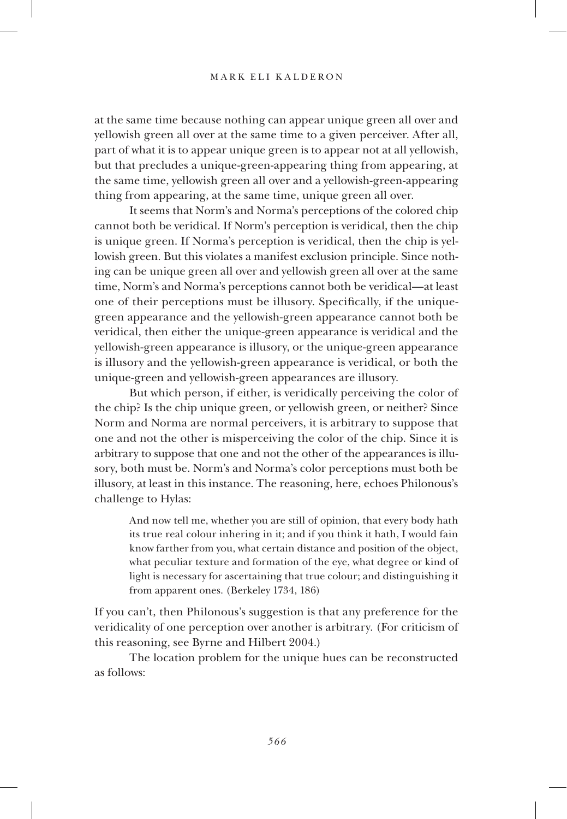at the same time because nothing can appear unique green all over and yellowish green all over at the same time to a given perceiver. After all, part of what it is to appear unique green is to appear not at all yellowish, but that precludes a unique-green-appearing thing from appearing, at the same time, yellowish green all over and a yellowish-green-appearing thing from appearing, at the same time, unique green all over.

It seems that Norm's and Norma's perceptions of the colored chip cannot both be veridical. If Norm's perception is veridical, then the chip is unique green. If Norma's perception is veridical, then the chip is yellowish green. But this violates a manifest exclusion principle. Since nothing can be unique green all over and yellowish green all over at the same time, Norm's and Norma's perceptions cannot both be veridical—at least one of their perceptions must be illusory. Specifically, if the uniquegreen appearance and the yellowish-green appearance cannot both be veridical, then either the unique-green appearance is veridical and the yellowish-green appearance is illusory, or the unique-green appearance is illusory and the yellowish-green appearance is veridical, or both the unique-green and yellowish-green appearances are illusory.

But which person, if either, is veridically perceiving the color of the chip? Is the chip unique green, or yellowish green, or neither? Since Norm and Norma are normal perceivers, it is arbitrary to suppose that one and not the other is misperceiving the color of the chip. Since it is arbitrary to suppose that one and not the other of the appearances is illusory, both must be. Norm's and Norma's color perceptions must both be illusory, at least in this instance. The reasoning, here, echoes Philonous's challenge to Hylas:

And now tell me, whether you are still of opinion, that every body hath its true real colour inhering in it; and if you think it hath, I would fain know farther from you, what certain distance and position of the object, what peculiar texture and formation of the eye, what degree or kind of light is necessary for ascertaining that true colour; and distinguishing it from apparent ones. (Berkeley 1734, 186)

If you can't, then Philonous's suggestion is that any preference for the veridicality of one perception over another is arbitrary. (For criticism of this reasoning, see Byrne and Hilbert 2004.)

The location problem for the unique hues can be reconstructed as follows: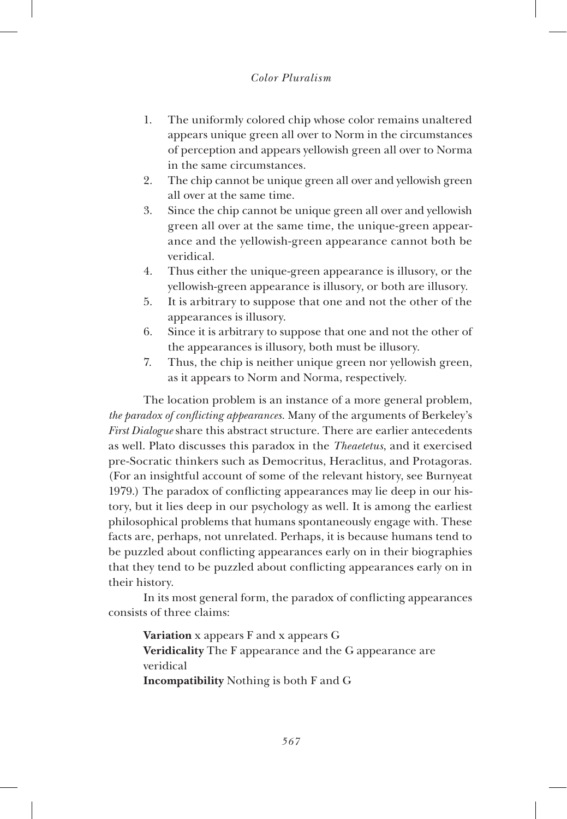- 1. The uniformly colored chip whose color remains unaltered appears unique green all over to Norm in the circumstances of perception and appears yellowish green all over to Norma in the same circumstances.
- 2. The chip cannot be unique green all over and yellowish green all over at the same time.
- 3. Since the chip cannot be unique green all over and yellowish green all over at the same time, the unique-green appearance and the yellowish-green appearance cannot both be veridical.
- 4. Thus either the unique-green appearance is illusory, or the yellowish-green appearance is illusory, or both are illusory.
- 5. It is arbitrary to suppose that one and not the other of the appearances is illusory.
- 6. Since it is arbitrary to suppose that one and not the other of the appearances is illusory, both must be illusory.
- 7. Thus, the chip is neither unique green nor yellowish green, as it appears to Norm and Norma, respectively.

The location problem is an instance of a more general problem, *the paradox of conflicting appearances*. Many of the arguments of Berkeley's *First Dialogue* share this abstract structure. There are earlier antecedents as well. Plato discusses this paradox in the *Theaetetus*, and it exercised pre-Socratic thinkers such as Democritus, Heraclitus, and Protagoras. (For an insightful account of some of the relevant history, see Burnyeat 1979.) The paradox of conflicting appearances may lie deep in our history, but it lies deep in our psychology as well. It is among the earliest philosophical problems that humans spontaneously engage with. These facts are, perhaps, not unrelated. Perhaps, it is because humans tend to be puzzled about conflicting appearances early on in their biographies that they tend to be puzzled about conflicting appearances early on in their history.

In its most general form, the paradox of conflicting appearances consists of three claims:

**Variation** x appears F and x appears G **Veridicality** The F appearance and the G appearance are veridical **Incompatibility** Nothing is both F and G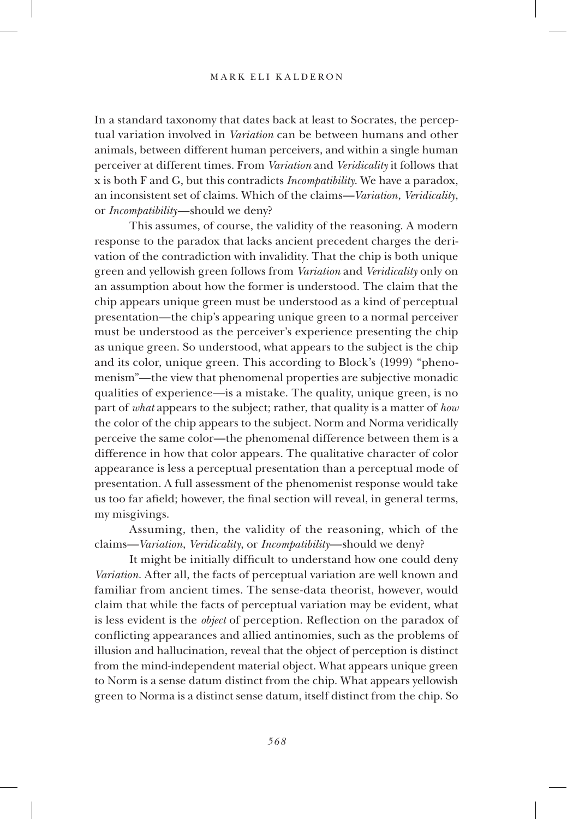In a standard taxonomy that dates back at least to Socrates, the perceptual variation involved in *Variation* can be between humans and other animals, between different human perceivers, and within a single human perceiver at different times. From *Variation* and *Veridicality* it follows that x is both F and G, but this contradicts *Incompatibility*. We have a paradox, an inconsistent set of claims. Which of the claims—*Variation*, *Veridicality*, or *Incompatibility*—should we deny?

This assumes, of course, the validity of the reasoning. A modern response to the paradox that lacks ancient precedent charges the derivation of the contradiction with invalidity. That the chip is both unique green and yellowish green follows from *Variation* and *Veridicality* only on an assumption about how the former is understood. The claim that the chip appears unique green must be understood as a kind of perceptual presentation—the chip's appearing unique green to a normal perceiver must be understood as the perceiver's experience presenting the chip as unique green. So understood, what appears to the subject is the chip and its color, unique green. This according to Block's (1999) "phenomenism"—the view that phenomenal properties are subjective monadic qualities of experience—is a mistake. The quality, unique green, is no part of *what* appears to the subject; rather, that quality is a matter of *how* the color of the chip appears to the subject. Norm and Norma veridically perceive the same color—the phenomenal difference between them is a difference in how that color appears. The qualitative character of color appearance is less a perceptual presentation than a perceptual mode of presentation. A full assessment of the phenomenist response would take us too far afield; however, the final section will reveal, in general terms, my misgivings.

Assuming, then, the validity of the reasoning, which of the claims—*Variation*, *Veridicality*, or *Incompatibility*—should we deny?

It might be initially difficult to understand how one could deny *Variation*. After all, the facts of perceptual variation are well known and familiar from ancient times. The sense-data theorist, however, would claim that while the facts of perceptual variation may be evident, what is less evident is the *object* of perception. Reflection on the paradox of conflicting appearances and allied antinomies, such as the problems of illusion and hallucination, reveal that the object of perception is distinct from the mind-independent material object. What appears unique green to Norm is a sense datum distinct from the chip. What appears yellowish green to Norma is a distinct sense datum, itself distinct from the chip. So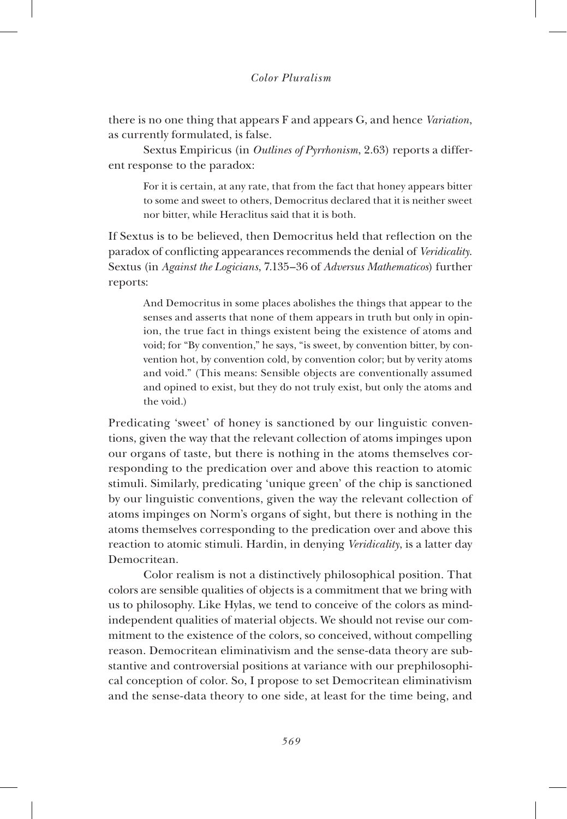there is no one thing that appears F and appears G, and hence *Variation*, as currently formulated, is false.

Sextus Empiricus (in *Outlines of Pyrrhonism*, 2.63) reports a different response to the paradox:

For it is certain, at any rate, that from the fact that honey appears bitter to some and sweet to others, Democritus declared that it is neither sweet nor bitter, while Heraclitus said that it is both.

If Sextus is to be believed, then Democritus held that reflection on the paradox of conflicting appearances recommends the denial of *Veridicality*. Sextus (in *Against the Logicians*, 7.135–36 of *Adversus Mathematicos*) further reports:

And Democritus in some places abolishes the things that appear to the senses and asserts that none of them appears in truth but only in opinion, the true fact in things existent being the existence of atoms and void; for "By convention," he says, "is sweet, by convention bitter, by convention hot, by convention cold, by convention color; but by verity atoms and void." (This means: Sensible objects are conventionally assumed and opined to exist, but they do not truly exist, but only the atoms and the void.)

Predicating 'sweet' of honey is sanctioned by our linguistic conventions, given the way that the relevant collection of atoms impinges upon our organs of taste, but there is nothing in the atoms themselves corresponding to the predication over and above this reaction to atomic stimuli. Similarly, predicating 'unique green' of the chip is sanctioned by our linguistic conventions, given the way the relevant collection of atoms impinges on Norm's organs of sight, but there is nothing in the atoms themselves corresponding to the predication over and above this reaction to atomic stimuli. Hardin, in denying *Veridicality*, is a latter day Democritean.

Color realism is not a distinctively philosophical position. That colors are sensible qualities of objects is a commitment that we bring with us to philosophy. Like Hylas, we tend to conceive of the colors as mindindependent qualities of material objects. We should not revise our commitment to the existence of the colors, so conceived, without compelling reason. Democritean eliminativism and the sense-data theory are substantive and controversial positions at variance with our prephilosophical conception of color. So, I propose to set Democritean eliminativism and the sense-data theory to one side, at least for the time being, and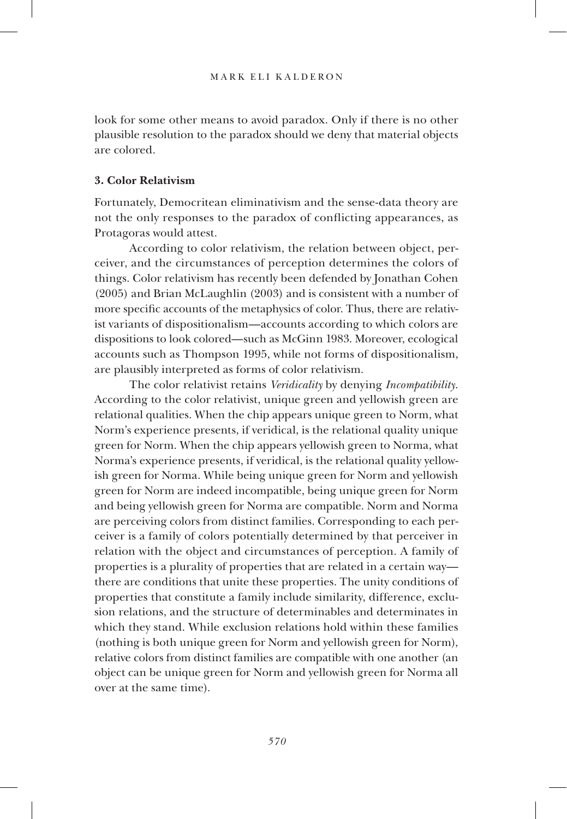look for some other means to avoid paradox. Only if there is no other plausible resolution to the paradox should we deny that material objects are colored.

## **3. Color Relativism**

Fortunately, Democritean eliminativism and the sense-data theory are not the only responses to the paradox of conflicting appearances, as Protagoras would attest.

According to color relativism, the relation between object, perceiver, and the circumstances of perception determines the colors of things. Color relativism has recently been defended by Jonathan Cohen (2005) and Brian McLaughlin (2003) and is consistent with a number of more specific accounts of the metaphysics of color. Thus, there are relativist variants of dispositionalism—accounts according to which colors are dispositions to look colored—such as McGinn 1983. Moreover, ecological accounts such as Thompson 1995, while not forms of dispositionalism, are plausibly interpreted as forms of color relativism.

The color relativist retains *Veridicality* by denying *Incompatibility*. According to the color relativist, unique green and yellowish green are relational qualities. When the chip appears unique green to Norm, what Norm's experience presents, if veridical, is the relational quality unique green for Norm. When the chip appears yellowish green to Norma, what Norma's experience presents, if veridical, is the relational quality yellowish green for Norma. While being unique green for Norm and yellowish green for Norm are indeed incompatible, being unique green for Norm and being yellowish green for Norma are compatible. Norm and Norma are perceiving colors from distinct families. Corresponding to each perceiver is a family of colors potentially determined by that perceiver in relation with the object and circumstances of perception. A family of properties is a plurality of properties that are related in a certain way there are conditions that unite these properties. The unity conditions of properties that constitute a family include similarity, difference, exclusion relations, and the structure of determinables and determinates in which they stand. While exclusion relations hold within these families (nothing is both unique green for Norm and yellowish green for Norm), relative colors from distinct families are compatible with one another (an object can be unique green for Norm and yellowish green for Norma all over at the same time).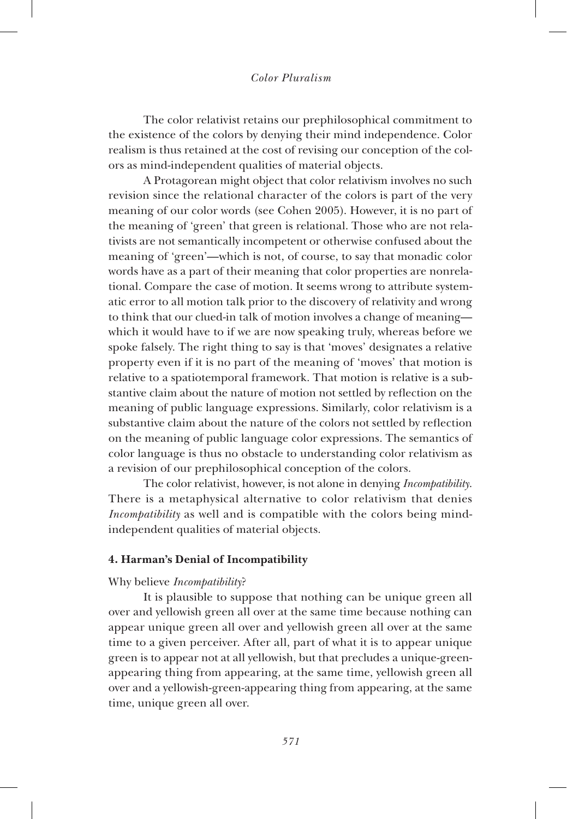The color relativist retains our prephilosophical commitment to the existence of the colors by denying their mind independence. Color realism is thus retained at the cost of revising our conception of the colors as mind-independent qualities of material objects.

A Protagorean might object that color relativism involves no such revision since the relational character of the colors is part of the very meaning of our color words (see Cohen 2005). However, it is no part of the meaning of 'green' that green is relational. Those who are not relativists are not semantically incompetent or otherwise confused about the meaning of 'green'—which is not, of course, to say that monadic color words have as a part of their meaning that color properties are nonrelational. Compare the case of motion. It seems wrong to attribute systematic error to all motion talk prior to the discovery of relativity and wrong to think that our clued-in talk of motion involves a change of meaning which it would have to if we are now speaking truly, whereas before we spoke falsely. The right thing to say is that 'moves' designates a relative property even if it is no part of the meaning of 'moves' that motion is relative to a spatiotemporal framework. That motion is relative is a substantive claim about the nature of motion not settled by reflection on the meaning of public language expressions. Similarly, color relativism is a substantive claim about the nature of the colors not settled by reflection on the meaning of public language color expressions. The semantics of color language is thus no obstacle to understanding color relativism as a revision of our prephilosophical conception of the colors.

The color relativist, however, is not alone in denying *Incompatibility*. There is a metaphysical alternative to color relativism that denies *Incompatibility* as well and is compatible with the colors being mindindependent qualities of material objects.

#### **4. Harman's Denial of Incompatibility**

#### Why believe *Incompatibility*?

It is plausible to suppose that nothing can be unique green all over and yellowish green all over at the same time because nothing can appear unique green all over and yellowish green all over at the same time to a given perceiver. After all, part of what it is to appear unique green is to appear not at all yellowish, but that precludes a unique-greenappearing thing from appearing, at the same time, yellowish green all over and a yellowish-green-appearing thing from appearing, at the same time, unique green all over.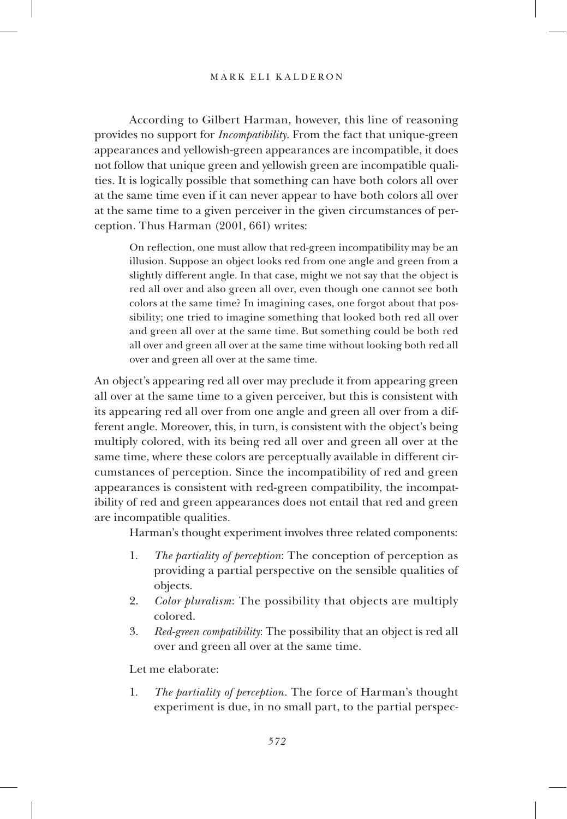According to Gilbert Harman, however, this line of reasoning provides no support for *Incompatibility*. From the fact that unique-green appearances and yellowish-green appearances are incompatible, it does not follow that unique green and yellowish green are incompatible qualities. It is logically possible that something can have both colors all over at the same time even if it can never appear to have both colors all over at the same time to a given perceiver in the given circumstances of perception. Thus Harman (2001, 661) writes:

On reflection, one must allow that red-green incompatibility may be an illusion. Suppose an object looks red from one angle and green from a slightly different angle. In that case, might we not say that the object is red all over and also green all over, even though one cannot see both colors at the same time? In imagining cases, one forgot about that possibility; one tried to imagine something that looked both red all over and green all over at the same time. But something could be both red all over and green all over at the same time without looking both red all over and green all over at the same time.

An object's appearing red all over may preclude it from appearing green all over at the same time to a given perceiver, but this is consistent with its appearing red all over from one angle and green all over from a different angle. Moreover, this, in turn, is consistent with the object's being multiply colored, with its being red all over and green all over at the same time, where these colors are perceptually available in different circumstances of perception. Since the incompatibility of red and green appearances is consistent with red-green compatibility, the incompatibility of red and green appearances does not entail that red and green are incompatible qualities.

Harman's thought experiment involves three related components:

- 1. *The partiality of perception*: The conception of perception as providing a partial perspective on the sensible qualities of objects.
- 2. *Color pluralism*: The possibility that objects are multiply colored.
- 3. *Red-green compatibility*: The possibility that an object is red all over and green all over at the same time.

Let me elaborate:

1. *The partiality of perception*. The force of Harman's thought experiment is due, in no small part, to the partial perspec-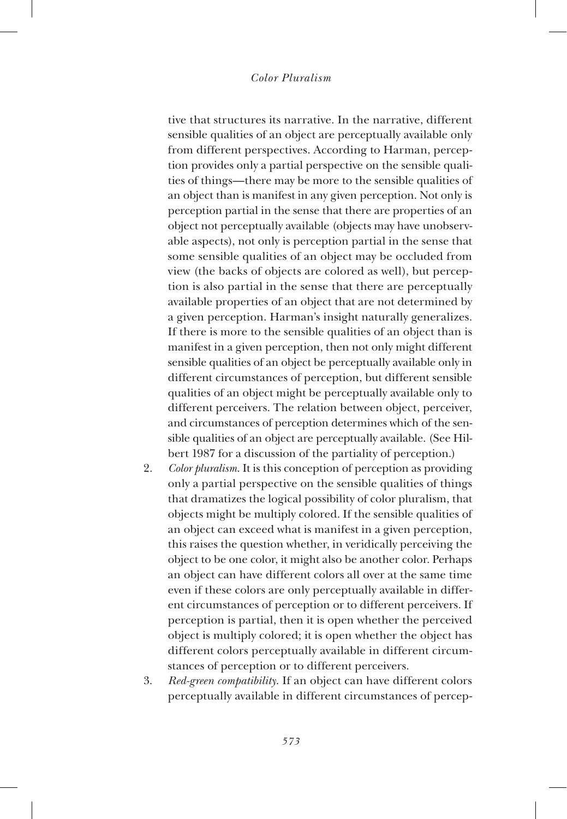tive that structures its narrative. In the narrative, different sensible qualities of an object are perceptually available only from different perspectives. According to Harman, perception provides only a partial perspective on the sensible qualities of things—there may be more to the sensible qualities of an object than is manifest in any given perception. Not only is perception partial in the sense that there are properties of an object not perceptually available (objects may have unobservable aspects), not only is perception partial in the sense that some sensible qualities of an object may be occluded from view (the backs of objects are colored as well), but perception is also partial in the sense that there are perceptually available properties of an object that are not determined by a given perception. Harman's insight naturally generalizes. If there is more to the sensible qualities of an object than is manifest in a given perception, then not only might different sensible qualities of an object be perceptually available only in different circumstances of perception, but different sensible qualities of an object might be perceptually available only to different perceivers. The relation between object, perceiver, and circumstances of perception determines which of the sensible qualities of an object are perceptually available. (See Hilbert 1987 for a discussion of the partiality of perception.)

- 2. *Color pluralism*. It is this conception of perception as providing only a partial perspective on the sensible qualities of things that dramatizes the logical possibility of color pluralism, that objects might be multiply colored. If the sensible qualities of an object can exceed what is manifest in a given perception, this raises the question whether, in veridically perceiving the object to be one color, it might also be another color. Perhaps an object can have different colors all over at the same time even if these colors are only perceptually available in different circumstances of perception or to different perceivers. If perception is partial, then it is open whether the perceived object is multiply colored; it is open whether the object has different colors perceptually available in different circumstances of perception or to different perceivers.
- 3. *Red-green compatibility*. If an object can have different colors perceptually available in different circumstances of percep-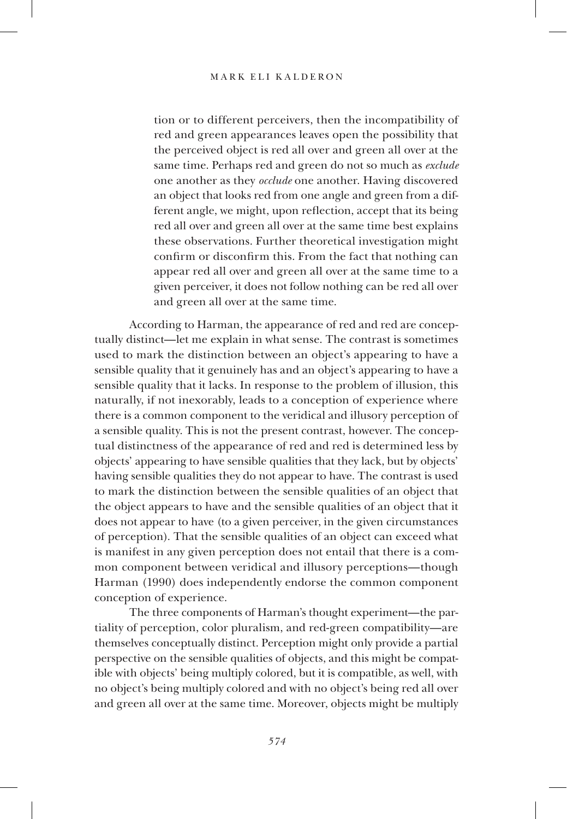tion or to different perceivers, then the incompatibility of red and green appearances leaves open the possibility that the perceived object is red all over and green all over at the same time. Perhaps red and green do not so much as *exclude* one another as they *occlude* one another. Having discovered an object that looks red from one angle and green from a different angle, we might, upon reflection, accept that its being red all over and green all over at the same time best explains these observations. Further theoretical investigation might confirm or disconfirm this. From the fact that nothing can appear red all over and green all over at the same time to a given perceiver, it does not follow nothing can be red all over and green all over at the same time.

According to Harman, the appearance of red and red are conceptually distinct—let me explain in what sense. The contrast is sometimes used to mark the distinction between an object's appearing to have a sensible quality that it genuinely has and an object's appearing to have a sensible quality that it lacks. In response to the problem of illusion, this naturally, if not inexorably, leads to a conception of experience where there is a common component to the veridical and illusory perception of a sensible quality. This is not the present contrast, however. The conceptual distinctness of the appearance of red and red is determined less by objects' appearing to have sensible qualities that they lack, but by objects' having sensible qualities they do not appear to have. The contrast is used to mark the distinction between the sensible qualities of an object that the object appears to have and the sensible qualities of an object that it does not appear to have (to a given perceiver, in the given circumstances of perception). That the sensible qualities of an object can exceed what is manifest in any given perception does not entail that there is a common component between veridical and illusory perceptions—though Harman (1990) does independently endorse the common component conception of experience.

The three components of Harman's thought experiment—the partiality of perception, color pluralism, and red-green compatibility—are themselves conceptually distinct. Perception might only provide a partial perspective on the sensible qualities of objects, and this might be compatible with objects' being multiply colored, but it is compatible, as well, with no object's being multiply colored and with no object's being red all over and green all over at the same time. Moreover, objects might be multiply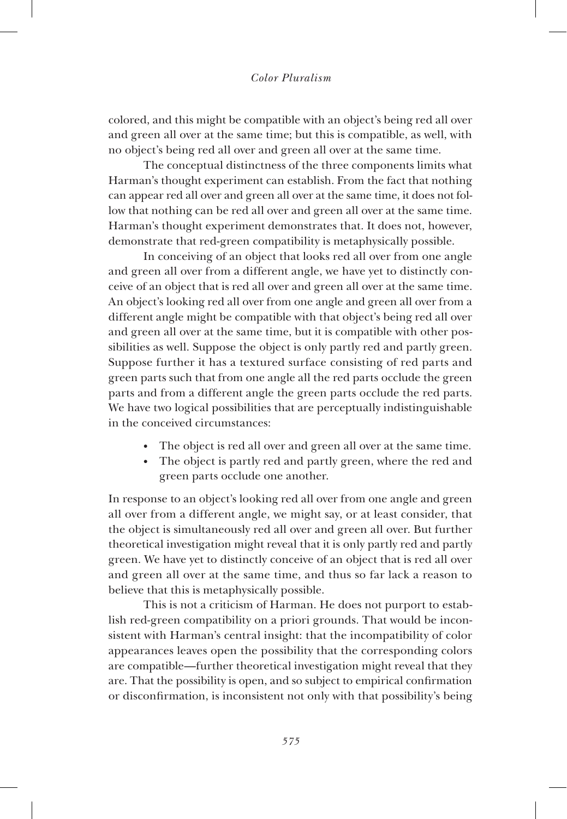colored, and this might be compatible with an object's being red all over and green all over at the same time; but this is compatible, as well, with no object's being red all over and green all over at the same time.

The conceptual distinctness of the three components limits what Harman's thought experiment can establish. From the fact that nothing can appear red all over and green all over at the same time, it does not follow that nothing can be red all over and green all over at the same time. Harman's thought experiment demonstrates that. It does not, however, demonstrate that red-green compatibility is metaphysically possible.

In conceiving of an object that looks red all over from one angle and green all over from a different angle, we have yet to distinctly conceive of an object that is red all over and green all over at the same time. An object's looking red all over from one angle and green all over from a different angle might be compatible with that object's being red all over and green all over at the same time, but it is compatible with other possibilities as well. Suppose the object is only partly red and partly green. Suppose further it has a textured surface consisting of red parts and green parts such that from one angle all the red parts occlude the green parts and from a different angle the green parts occlude the red parts. We have two logical possibilities that are perceptually indistinguishable in the conceived circumstances:

- The object is red all over and green all over at the same time.
- The object is partly red and partly green, where the red and green parts occlude one another.

In response to an object's looking red all over from one angle and green all over from a different angle, we might say, or at least consider, that the object is simultaneously red all over and green all over. But further theoretical investigation might reveal that it is only partly red and partly green. We have yet to distinctly conceive of an object that is red all over and green all over at the same time, and thus so far lack a reason to believe that this is metaphysically possible.

This is not a criticism of Harman. He does not purport to establish red-green compatibility on a priori grounds. That would be inconsistent with Harman's central insight: that the incompatibility of color appearances leaves open the possibility that the corresponding colors are compatible—further theoretical investigation might reveal that they are. That the possibility is open, and so subject to empirical confirmation or disconfirmation, is inconsistent not only with that possibility's being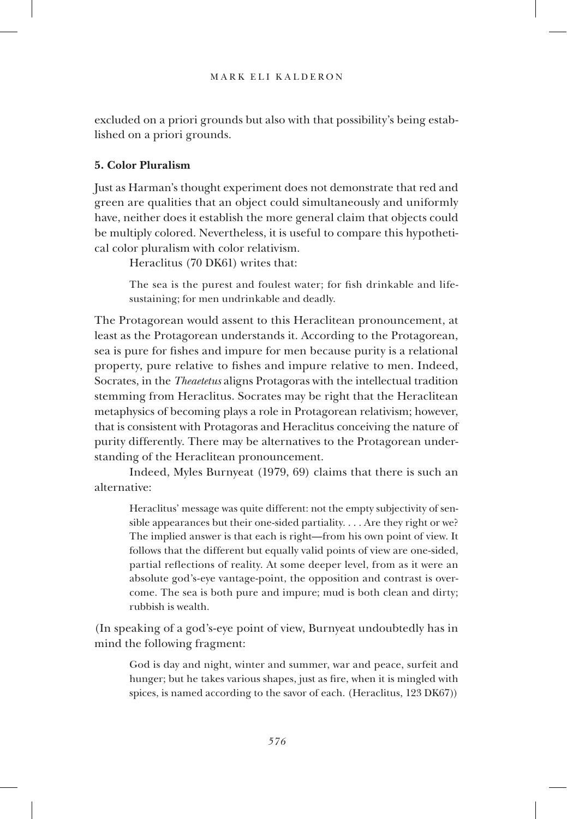excluded on a priori grounds but also with that possibility's being established on a priori grounds.

# **5. Color Pluralism**

Just as Harman's thought experiment does not demonstrate that red and green are qualities that an object could simultaneously and uniformly have, neither does it establish the more general claim that objects could be multiply colored. Nevertheless, it is useful to compare this hypothetical color pluralism with color relativism.

Heraclitus (70 DK61) writes that:

The sea is the purest and foulest water; for fish drinkable and lifesustaining; for men undrinkable and deadly.

The Protagorean would assent to this Heraclitean pronouncement, at least as the Protagorean understands it. According to the Protagorean, sea is pure for fishes and impure for men because purity is a relational property, pure relative to fishes and impure relative to men. Indeed, Socrates, in the *Theaetetus* aligns Protagoras with the intellectual tradition stemming from Heraclitus. Socrates may be right that the Heraclitean metaphysics of becoming plays a role in Protagorean relativism; however, that is consistent with Protagoras and Heraclitus conceiving the nature of purity differently. There may be alternatives to the Protagorean understanding of the Heraclitean pronouncement.

Indeed, Myles Burnyeat (1979, 69) claims that there is such an alternative:

Heraclitus' message was quite different: not the empty subjectivity of sensible appearances but their one-sided partiality. . . . Are they right or we? The implied answer is that each is right—from his own point of view. It follows that the different but equally valid points of view are one-sided, partial reflections of reality. At some deeper level, from as it were an absolute god's-eye vantage-point, the opposition and contrast is overcome. The sea is both pure and impure; mud is both clean and dirty; rubbish is wealth.

(In speaking of a god's-eye point of view, Burnyeat undoubtedly has in mind the following fragment:

God is day and night, winter and summer, war and peace, surfeit and hunger; but he takes various shapes, just as fire, when it is mingled with spices, is named according to the savor of each. (Heraclitus, 123 DK67))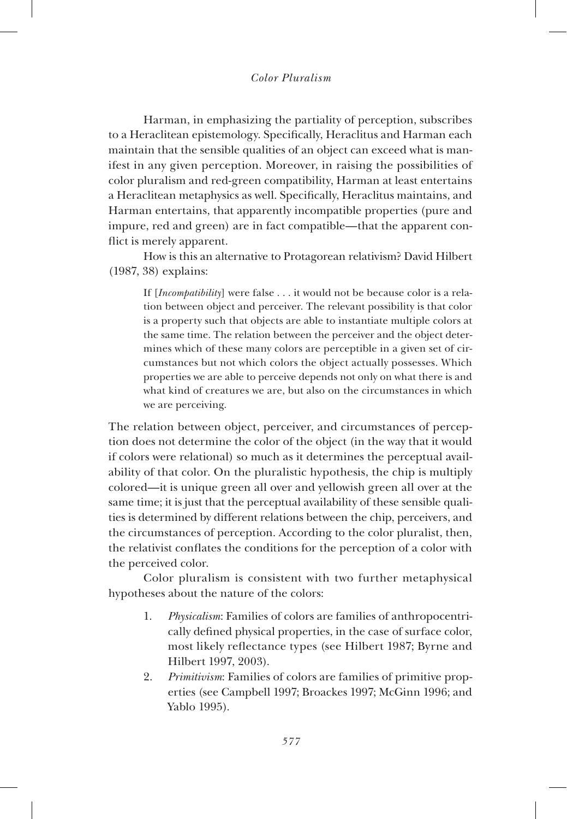Harman, in emphasizing the partiality of perception, subscribes to a Heraclitean epistemology. Specifically, Heraclitus and Harman each maintain that the sensible qualities of an object can exceed what is manifest in any given perception. Moreover, in raising the possibilities of color pluralism and red-green compatibility, Harman at least entertains a Heraclitean metaphysics as well. Specifically, Heraclitus maintains, and Harman entertains, that apparently incompatible properties (pure and impure, red and green) are in fact compatible—that the apparent conflict is merely apparent.

How is this an alternative to Protagorean relativism? David Hilbert (1987, 38) explains:

If [*Incompatibility*] were false . . . it would not be because color is a relation between object and perceiver. The relevant possibility is that color is a property such that objects are able to instantiate multiple colors at the same time. The relation between the perceiver and the object determines which of these many colors are perceptible in a given set of circumstances but not which colors the object actually possesses. Which properties we are able to perceive depends not only on what there is and what kind of creatures we are, but also on the circumstances in which we are perceiving.

The relation between object, perceiver, and circumstances of perception does not determine the color of the object (in the way that it would if colors were relational) so much as it determines the perceptual availability of that color. On the pluralistic hypothesis, the chip is multiply colored—it is unique green all over and yellowish green all over at the same time; it is just that the perceptual availability of these sensible qualities is determined by different relations between the chip, perceivers, and the circumstances of perception. According to the color pluralist, then, the relativist conflates the conditions for the perception of a color with the perceived color.

Color pluralism is consistent with two further metaphysical hypotheses about the nature of the colors:

- 1. *Physicalism*: Families of colors are families of anthropocentrically defined physical properties, in the case of surface color, most likely reflectance types (see Hilbert 1987; Byrne and Hilbert 1997, 2003).
- 2. *Primitivism*: Families of colors are families of primitive properties (see Campbell 1997; Broackes 1997; McGinn 1996; and Yablo 1995).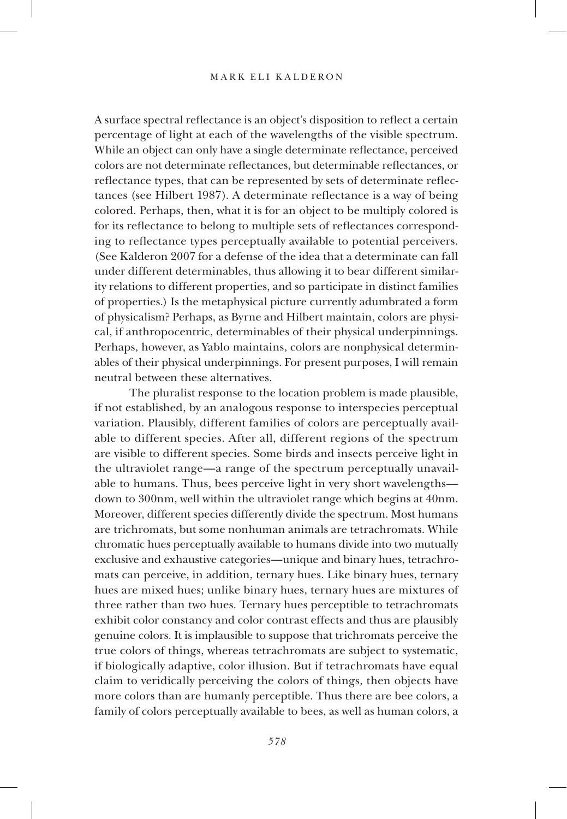A surface spectral reflectance is an object's disposition to reflect a certain percentage of light at each of the wavelengths of the visible spectrum. While an object can only have a single determinate reflectance, perceived colors are not determinate reflectances, but determinable reflectances, or reflectance types, that can be represented by sets of determinate reflectances (see Hilbert 1987). A determinate reflectance is a way of being colored. Perhaps, then, what it is for an object to be multiply colored is for its reflectance to belong to multiple sets of reflectances corresponding to reflectance types perceptually available to potential perceivers. (See Kalderon 2007 for a defense of the idea that a determinate can fall under different determinables, thus allowing it to bear different similarity relations to different properties, and so participate in distinct families of properties.) Is the metaphysical picture currently adumbrated a form of physicalism? Perhaps, as Byrne and Hilbert maintain, colors are physical, if anthropocentric, determinables of their physical underpinnings. Perhaps, however, as Yablo maintains, colors are nonphysical determinables of their physical underpinnings. For present purposes, I will remain neutral between these alternatives.

The pluralist response to the location problem is made plausible, if not established, by an analogous response to interspecies perceptual variation. Plausibly, different families of colors are perceptually available to different species. After all, different regions of the spectrum are visible to different species. Some birds and insects perceive light in the ultraviolet range—a range of the spectrum perceptually unavailable to humans. Thus, bees perceive light in very short wavelengths down to 300nm, well within the ultraviolet range which begins at 40nm. Moreover, different species differently divide the spectrum. Most humans are trichromats, but some nonhuman animals are tetrachromats. While chromatic hues perceptually available to humans divide into two mutually exclusive and exhaustive categories—unique and binary hues, tetrachromats can perceive, in addition, ternary hues. Like binary hues, ternary hues are mixed hues; unlike binary hues, ternary hues are mixtures of three rather than two hues. Ternary hues perceptible to tetrachromats exhibit color constancy and color contrast effects and thus are plausibly genuine colors. It is implausible to suppose that trichromats perceive the true colors of things, whereas tetrachromats are subject to systematic, if biologically adaptive, color illusion. But if tetrachromats have equal claim to veridically perceiving the colors of things, then objects have more colors than are humanly perceptible. Thus there are bee colors, a family of colors perceptually available to bees, as well as human colors, a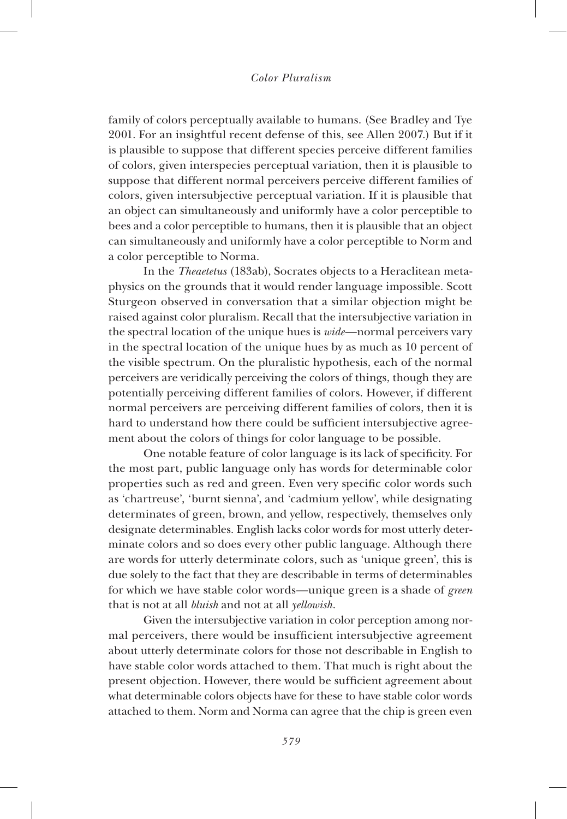family of colors perceptually available to humans. (See Bradley and Tye 2001. For an insightful recent defense of this, see Allen 2007.) But if it is plausible to suppose that different species perceive different families of colors, given interspecies perceptual variation, then it is plausible to suppose that different normal perceivers perceive different families of colors, given intersubjective perceptual variation. If it is plausible that an object can simultaneously and uniformly have a color perceptible to bees and a color perceptible to humans, then it is plausible that an object can simultaneously and uniformly have a color perceptible to Norm and a color perceptible to Norma.

In the *Theaetetus* (183ab), Socrates objects to a Heraclitean metaphysics on the grounds that it would render language impossible. Scott Sturgeon observed in conversation that a similar objection might be raised against color pluralism. Recall that the intersubjective variation in the spectral location of the unique hues is *wide*—normal perceivers vary in the spectral location of the unique hues by as much as 10 percent of the visible spectrum. On the pluralistic hypothesis, each of the normal perceivers are veridically perceiving the colors of things, though they are potentially perceiving different families of colors. However, if different normal perceivers are perceiving different families of colors, then it is hard to understand how there could be sufficient intersubjective agreement about the colors of things for color language to be possible.

One notable feature of color language is its lack of specificity. For the most part, public language only has words for determinable color properties such as red and green. Even very specific color words such as 'chartreuse', 'burnt sienna', and 'cadmium yellow', while designating determinates of green, brown, and yellow, respectively, themselves only designate determinables. English lacks color words for most utterly determinate colors and so does every other public language. Although there are words for utterly determinate colors, such as 'unique green', this is due solely to the fact that they are describable in terms of determinables for which we have stable color words—unique green is a shade of *green* that is not at all *bluish* and not at all *yellowish*.

Given the intersubjective variation in color perception among normal perceivers, there would be insufficient intersubjective agreement about utterly determinate colors for those not describable in English to have stable color words attached to them. That much is right about the present objection. However, there would be sufficient agreement about what determinable colors objects have for these to have stable color words attached to them. Norm and Norma can agree that the chip is green even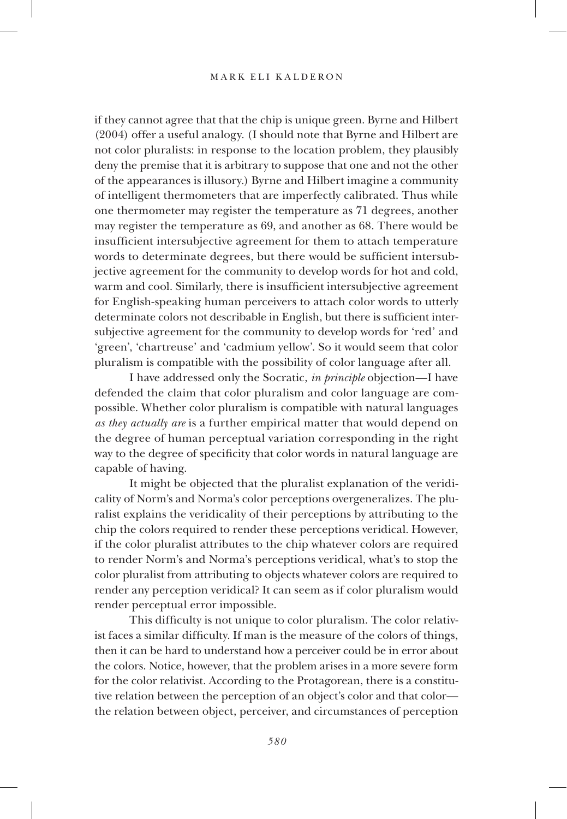if they cannot agree that that the chip is unique green. Byrne and Hilbert (2004) offer a useful analogy. (I should note that Byrne and Hilbert are not color pluralists: in response to the location problem, they plausibly deny the premise that it is arbitrary to suppose that one and not the other of the appearances is illusory.) Byrne and Hilbert imagine a community of intelligent thermometers that are imperfectly calibrated. Thus while one thermometer may register the temperature as 71 degrees, another may register the temperature as 69, and another as 68. There would be insufficient intersubjective agreement for them to attach temperature words to determinate degrees, but there would be sufficient intersubjective agreement for the community to develop words for hot and cold, warm and cool. Similarly, there is insufficient intersubjective agreement for English-speaking human perceivers to attach color words to utterly determinate colors not describable in English, but there is sufficient intersubjective agreement for the community to develop words for 'red' and 'green', 'chartreuse' and 'cadmium yellow'. So it would seem that color pluralism is compatible with the possibility of color language after all.

I have addressed only the Socratic, *in principle* objection—I have defended the claim that color pluralism and color language are compossible. Whether color pluralism is compatible with natural languages *as they actually are* is a further empirical matter that would depend on the degree of human perceptual variation corresponding in the right way to the degree of specificity that color words in natural language are capable of having.

It might be objected that the pluralist explanation of the veridicality of Norm's and Norma's color perceptions overgeneralizes. The pluralist explains the veridicality of their perceptions by attributing to the chip the colors required to render these perceptions veridical. However, if the color pluralist attributes to the chip whatever colors are required to render Norm's and Norma's perceptions veridical, what's to stop the color pluralist from attributing to objects whatever colors are required to render any perception veridical? It can seem as if color pluralism would render perceptual error impossible.

This difficulty is not unique to color pluralism. The color relativist faces a similar difficulty. If man is the measure of the colors of things, then it can be hard to understand how a perceiver could be in error about the colors. Notice, however, that the problem arises in a more severe form for the color relativist. According to the Protagorean, there is a constitutive relation between the perception of an object's color and that color the relation between object, perceiver, and circumstances of perception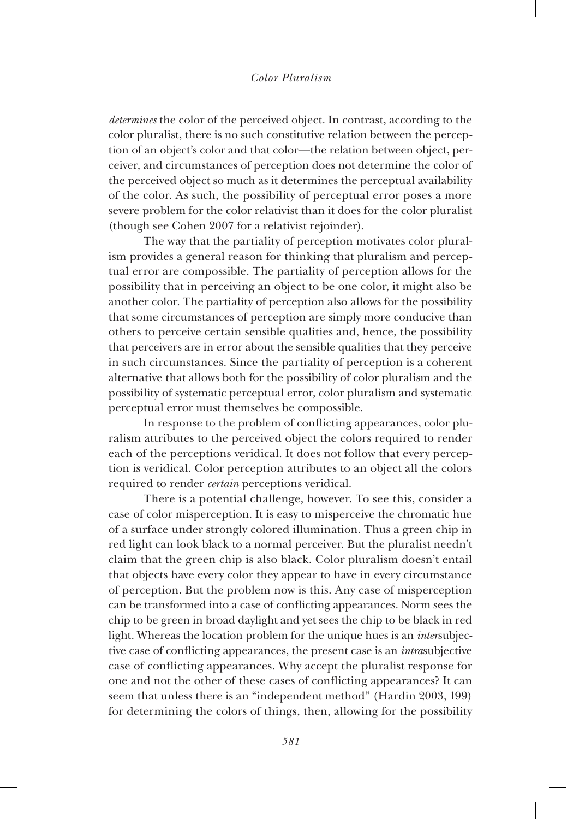*determines* the color of the perceived object. In contrast, according to the color pluralist, there is no such constitutive relation between the perception of an object's color and that color—the relation between object, perceiver, and circumstances of perception does not determine the color of the perceived object so much as it determines the perceptual availability of the color. As such, the possibility of perceptual error poses a more severe problem for the color relativist than it does for the color pluralist (though see Cohen 2007 for a relativist rejoinder).

The way that the partiality of perception motivates color pluralism provides a general reason for thinking that pluralism and perceptual error are compossible. The partiality of perception allows for the possibility that in perceiving an object to be one color, it might also be another color. The partiality of perception also allows for the possibility that some circumstances of perception are simply more conducive than others to perceive certain sensible qualities and, hence, the possibility that perceivers are in error about the sensible qualities that they perceive in such circumstances. Since the partiality of perception is a coherent alternative that allows both for the possibility of color pluralism and the possibility of systematic perceptual error, color pluralism and systematic perceptual error must themselves be compossible.

In response to the problem of conflicting appearances, color pluralism attributes to the perceived object the colors required to render each of the perceptions veridical. It does not follow that every perception is veridical. Color perception attributes to an object all the colors required to render *certain* perceptions veridical.

There is a potential challenge, however. To see this, consider a case of color misperception. It is easy to misperceive the chromatic hue of a surface under strongly colored illumination. Thus a green chip in red light can look black to a normal perceiver. But the pluralist needn't claim that the green chip is also black. Color pluralism doesn't entail that objects have every color they appear to have in every circumstance of perception. But the problem now is this. Any case of misperception can be transformed into a case of conflicting appearances. Norm sees the chip to be green in broad daylight and yet sees the chip to be black in red light. Whereas the location problem for the unique hues is an *inter*subjective case of conflicting appearances, the present case is an *intra*subjective case of conflicting appearances. Why accept the pluralist response for one and not the other of these cases of conflicting appearances? It can seem that unless there is an "independent method" (Hardin 2003, 199) for determining the colors of things, then, allowing for the possibility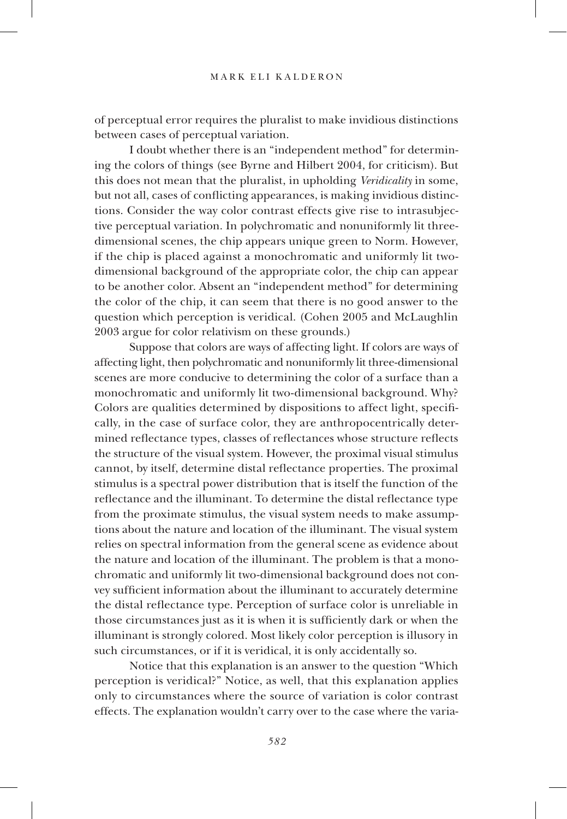of perceptual error requires the pluralist to make invidious distinctions between cases of perceptual variation.

I doubt whether there is an "independent method" for determining the colors of things (see Byrne and Hilbert 2004, for criticism). But this does not mean that the pluralist, in upholding *Veridicality* in some, but not all, cases of conflicting appearances, is making invidious distinctions. Consider the way color contrast effects give rise to intrasubjective perceptual variation. In polychromatic and nonuniformly lit threedimensional scenes, the chip appears unique green to Norm. However, if the chip is placed against a monochromatic and uniformly lit twodimensional background of the appropriate color, the chip can appear to be another color. Absent an "independent method" for determining the color of the chip, it can seem that there is no good answer to the question which perception is veridical. (Cohen 2005 and McLaughlin 2003 argue for color relativism on these grounds.)

Suppose that colors are ways of affecting light. If colors are ways of affecting light, then polychromatic and nonuniformly lit three-dimensional scenes are more conducive to determining the color of a surface than a monochromatic and uniformly lit two-dimensional background. Why? Colors are qualities determined by dispositions to affect light, specifically, in the case of surface color, they are anthropocentrically determined reflectance types, classes of reflectances whose structure reflects the structure of the visual system. However, the proximal visual stimulus cannot, by itself, determine distal reflectance properties. The proximal stimulus is a spectral power distribution that is itself the function of the reflectance and the illuminant. To determine the distal reflectance type from the proximate stimulus, the visual system needs to make assumptions about the nature and location of the illuminant. The visual system relies on spectral information from the general scene as evidence about the nature and location of the illuminant. The problem is that a monochromatic and uniformly lit two-dimensional background does not convey sufficient information about the illuminant to accurately determine the distal reflectance type. Perception of surface color is unreliable in those circumstances just as it is when it is sufficiently dark or when the illuminant is strongly colored. Most likely color perception is illusory in such circumstances, or if it is veridical, it is only accidentally so.

Notice that this explanation is an answer to the question "Which perception is veridical?" Notice, as well, that this explanation applies only to circumstances where the source of variation is color contrast effects. The explanation wouldn't carry over to the case where the varia-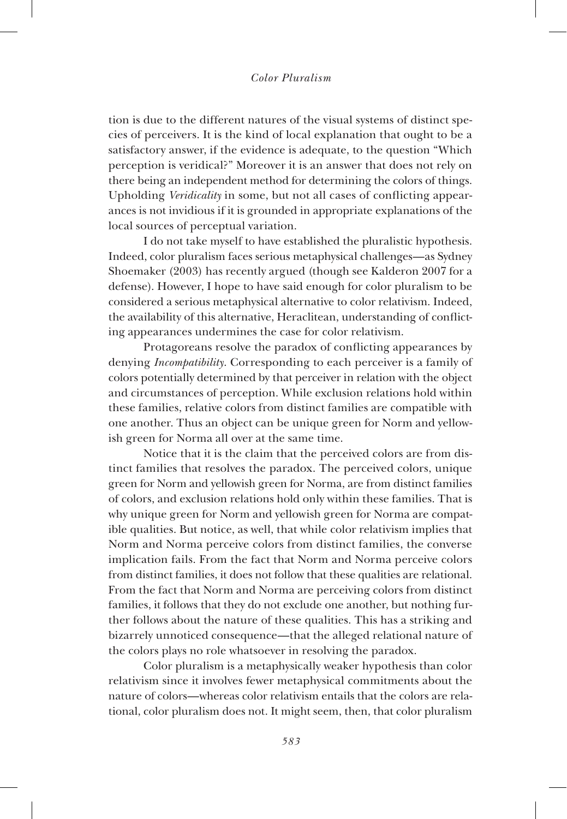tion is due to the different natures of the visual systems of distinct species of perceivers. It is the kind of local explanation that ought to be a satisfactory answer, if the evidence is adequate, to the question "Which perception is veridical?" Moreover it is an answer that does not rely on there being an independent method for determining the colors of things. Upholding *Veridicality* in some, but not all cases of conflicting appearances is not invidious if it is grounded in appropriate explanations of the local sources of perceptual variation.

I do not take myself to have established the pluralistic hypothesis. Indeed, color pluralism faces serious metaphysical challenges—as Sydney Shoemaker (2003) has recently argued (though see Kalderon 2007 for a defense). However, I hope to have said enough for color pluralism to be considered a serious metaphysical alternative to color relativism. Indeed, the availability of this alternative, Heraclitean, understanding of conflicting appearances undermines the case for color relativism.

Protagoreans resolve the paradox of conflicting appearances by denying *Incompatibility*. Corresponding to each perceiver is a family of colors potentially determined by that perceiver in relation with the object and circumstances of perception. While exclusion relations hold within these families, relative colors from distinct families are compatible with one another. Thus an object can be unique green for Norm and yellowish green for Norma all over at the same time.

Notice that it is the claim that the perceived colors are from distinct families that resolves the paradox. The perceived colors, unique green for Norm and yellowish green for Norma, are from distinct families of colors, and exclusion relations hold only within these families. That is why unique green for Norm and yellowish green for Norma are compatible qualities. But notice, as well, that while color relativism implies that Norm and Norma perceive colors from distinct families, the converse implication fails. From the fact that Norm and Norma perceive colors from distinct families, it does not follow that these qualities are relational. From the fact that Norm and Norma are perceiving colors from distinct families, it follows that they do not exclude one another, but nothing further follows about the nature of these qualities. This has a striking and bizarrely unnoticed consequence—that the alleged relational nature of the colors plays no role whatsoever in resolving the paradox.

Color pluralism is a metaphysically weaker hypothesis than color relativism since it involves fewer metaphysical commitments about the nature of colors—whereas color relativism entails that the colors are relational, color pluralism does not. It might seem, then, that color pluralism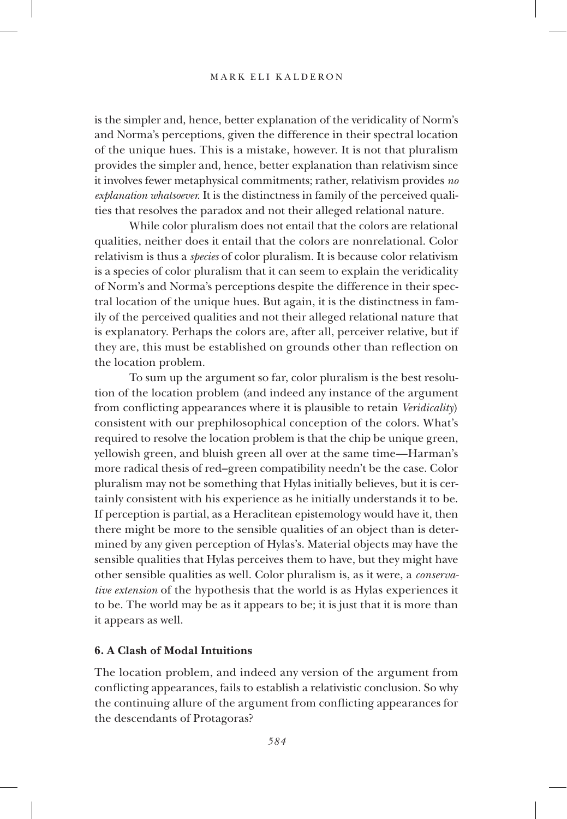is the simpler and, hence, better explanation of the veridicality of Norm's and Norma's perceptions, given the difference in their spectral location of the unique hues. This is a mistake, however. It is not that pluralism provides the simpler and, hence, better explanation than relativism since it involves fewer metaphysical commitments; rather, relativism provides *no explanation whatsoever*. It is the distinctness in family of the perceived qualities that resolves the paradox and not their alleged relational nature.

While color pluralism does not entail that the colors are relational qualities, neither does it entail that the colors are nonrelational. Color relativism is thus a *species* of color pluralism. It is because color relativism is a species of color pluralism that it can seem to explain the veridicality of Norm's and Norma's perceptions despite the difference in their spectral location of the unique hues. But again, it is the distinctness in family of the perceived qualities and not their alleged relational nature that is explanatory. Perhaps the colors are, after all, perceiver relative, but if they are, this must be established on grounds other than reflection on the location problem.

To sum up the argument so far, color pluralism is the best resolution of the location problem (and indeed any instance of the argument from conflicting appearances where it is plausible to retain *Veridicality*) consistent with our prephilosophical conception of the colors. What's required to resolve the location problem is that the chip be unique green, yellowish green, and bluish green all over at the same time—Harman's more radical thesis of red–green compatibility needn't be the case. Color pluralism may not be something that Hylas initially believes, but it is certainly consistent with his experience as he initially understands it to be. If perception is partial, as a Heraclitean epistemology would have it, then there might be more to the sensible qualities of an object than is determined by any given perception of Hylas's. Material objects may have the sensible qualities that Hylas perceives them to have, but they might have other sensible qualities as well. Color pluralism is, as it were, a *conservative extension* of the hypothesis that the world is as Hylas experiences it to be. The world may be as it appears to be; it is just that it is more than it appears as well.

# **6. A Clash of Modal Intuitions**

The location problem, and indeed any version of the argument from conflicting appearances, fails to establish a relativistic conclusion. So why the continuing allure of the argument from conflicting appearances for the descendants of Protagoras?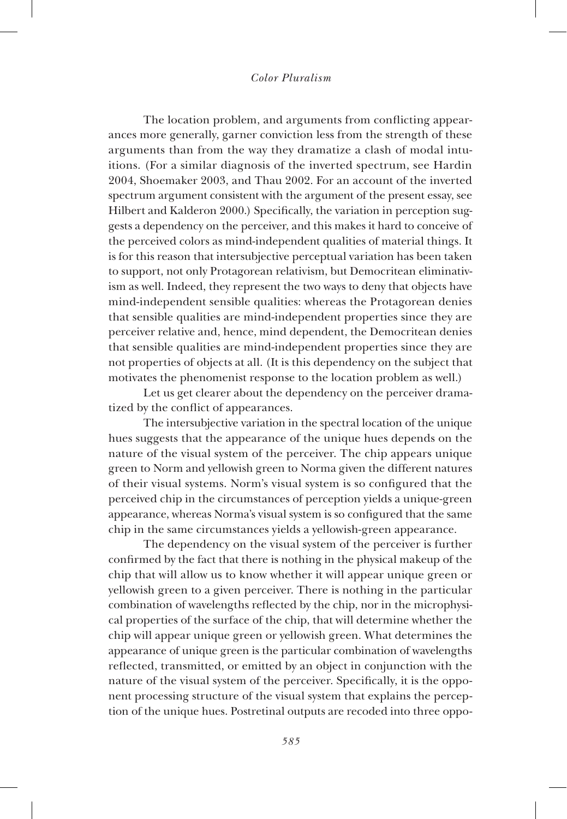The location problem, and arguments from conflicting appearances more generally, garner conviction less from the strength of these arguments than from the way they dramatize a clash of modal intuitions. (For a similar diagnosis of the inverted spectrum, see Hardin 2004, Shoemaker 2003, and Thau 2002. For an account of the inverted spectrum argument consistent with the argument of the present essay, see Hilbert and Kalderon 2000.) Specifically, the variation in perception suggests a dependency on the perceiver, and this makes it hard to conceive of the perceived colors as mind-independent qualities of material things. It is for this reason that intersubjective perceptual variation has been taken to support, not only Protagorean relativism, but Democritean eliminativism as well. Indeed, they represent the two ways to deny that objects have mind-independent sensible qualities: whereas the Protagorean denies that sensible qualities are mind-independent properties since they are perceiver relative and, hence, mind dependent, the Democritean denies that sensible qualities are mind-independent properties since they are not properties of objects at all. (It is this dependency on the subject that motivates the phenomenist response to the location problem as well.)

Let us get clearer about the dependency on the perceiver dramatized by the conflict of appearances.

The intersubjective variation in the spectral location of the unique hues suggests that the appearance of the unique hues depends on the nature of the visual system of the perceiver. The chip appears unique green to Norm and yellowish green to Norma given the different natures of their visual systems. Norm's visual system is so configured that the perceived chip in the circumstances of perception yields a unique-green appearance, whereas Norma's visual system is so configured that the same chip in the same circumstances yields a yellowish-green appearance.

The dependency on the visual system of the perceiver is further confirmed by the fact that there is nothing in the physical makeup of the chip that will allow us to know whether it will appear unique green or yellowish green to a given perceiver. There is nothing in the particular combination of wavelengths reflected by the chip, nor in the microphysical properties of the surface of the chip, that will determine whether the chip will appear unique green or yellowish green. What determines the appearance of unique green is the particular combination of wavelengths reflected, transmitted, or emitted by an object in conjunction with the nature of the visual system of the perceiver. Specifically, it is the opponent processing structure of the visual system that explains the perception of the unique hues. Postretinal outputs are recoded into three oppo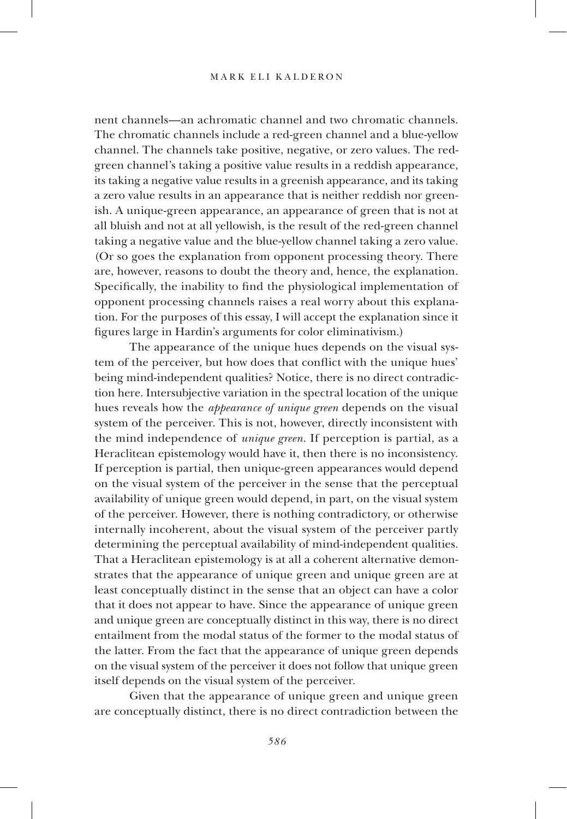nent channels—an achromatic channel and two chromatic channels. The chromatic channels include a red-green channel and a blue-yellow channel. The channels take positive, negative, or zero values. The redgreen channel's taking a positive value results in a reddish appearance, its taking a negative value results in a greenish appearance, and its taking a zero value results in an appearance that is neither reddish nor greenish. A unique-green appearance, an appearance of green that is not at all bluish and not at all yellowish, is the result of the red-green channel taking a negative value and the blue-yellow channel taking a zero value. (Or so goes the explanation from opponent processing theory. There are, however, reasons to doubt the theory and, hence, the explanation. Specifically, the inability to find the physiological implementation of opponent processing channels raises a real worry about this explanation. For the purposes of this essay, I will accept the explanation since it figures large in Hardin's arguments for color eliminativism.)

The appearance of the unique hues depends on the visual system of the perceiver, but how does that conflict with the unique hues' being mind-independent qualities? Notice, there is no direct contradiction here. Intersubjective variation in the spectral location of the unique hues reveals how the *appearance of unique green* depends on the visual system of the perceiver. This is not, however, directly inconsistent with the mind independence of *unique green*. If perception is partial, as a Heraclitean epistemology would have it, then there is no inconsistency. If perception is partial, then unique-green appearances would depend on the visual system of the perceiver in the sense that the perceptual availability of unique green would depend, in part, on the visual system of the perceiver. However, there is nothing contradictory, or otherwise internally incoherent, about the visual system of the perceiver partly determining the perceptual availability of mind-independent qualities. That a Heraclitean epistemology is at all a coherent alternative demonstrates that the appearance of unique green and unique green are at least conceptually distinct in the sense that an object can have a color that it does not appear to have. Since the appearance of unique green and unique green are conceptually distinct in this way, there is no direct entailment from the modal status of the former to the modal status of the latter. From the fact that the appearance of unique green depends on the visual system of the perceiver it does not follow that unique green itself depends on the visual system of the perceiver.

Given that the appearance of unique green and unique green are conceptually distinct, there is no direct contradiction between the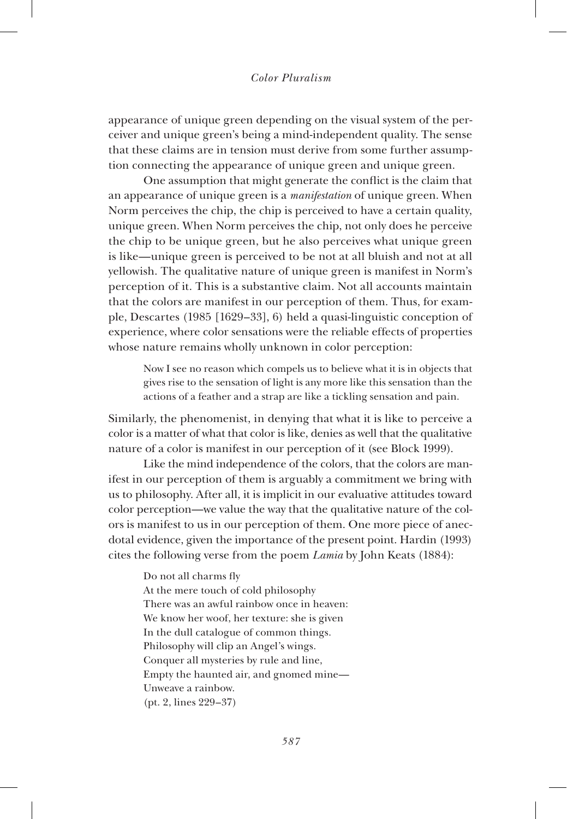appearance of unique green depending on the visual system of the perceiver and unique green's being a mind-independent quality. The sense that these claims are in tension must derive from some further assumption connecting the appearance of unique green and unique green.

One assumption that might generate the conflict is the claim that an appearance of unique green is a *manifestation* of unique green. When Norm perceives the chip, the chip is perceived to have a certain quality, unique green. When Norm perceives the chip, not only does he perceive the chip to be unique green, but he also perceives what unique green is like—unique green is perceived to be not at all bluish and not at all yellowish. The qualitative nature of unique green is manifest in Norm's perception of it. This is a substantive claim. Not all accounts maintain that the colors are manifest in our perception of them. Thus, for example, Descartes (1985 [1629–33], 6) held a quasi-linguistic conception of experience, where color sensations were the reliable effects of properties whose nature remains wholly unknown in color perception:

Now I see no reason which compels us to believe what it is in objects that gives rise to the sensation of light is any more like this sensation than the actions of a feather and a strap are like a tickling sensation and pain.

Similarly, the phenomenist, in denying that what it is like to perceive a color is a matter of what that color is like, denies as well that the qualitative nature of a color is manifest in our perception of it (see Block 1999).

Like the mind independence of the colors, that the colors are manifest in our perception of them is arguably a commitment we bring with us to philosophy. After all, it is implicit in our evaluative attitudes toward color perception—we value the way that the qualitative nature of the colors is manifest to us in our perception of them. One more piece of anecdotal evidence, given the importance of the present point. Hardin (1993) cites the following verse from the poem *Lamia* by John Keats (1884):

Do not all charms fly At the mere touch of cold philosophy There was an awful rainbow once in heaven: We know her woof, her texture: she is given In the dull catalogue of common things. Philosophy will clip an Angel's wings. Conquer all mysteries by rule and line, Empty the haunted air, and gnomed mine— Unweave a rainbow. (pt. 2, lines 229–37)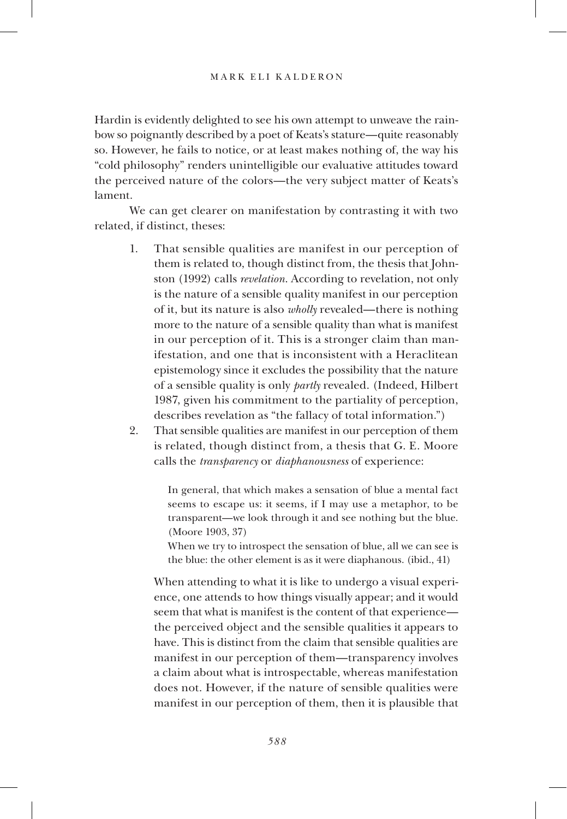Hardin is evidently delighted to see his own attempt to unweave the rainbow so poignantly described by a poet of Keats's stature—quite reasonably so. However, he fails to notice, or at least makes nothing of, the way his "cold philosophy" renders unintelligible our evaluative attitudes toward the perceived nature of the colors—the very subject matter of Keats's lament.

We can get clearer on manifestation by contrasting it with two related, if distinct, theses:

- 1. That sensible qualities are manifest in our perception of them is related to, though distinct from, the thesis that Johnston (1992) calls *revelation*. According to revelation, not only is the nature of a sensible quality manifest in our perception of it, but its nature is also *wholly* revealed—there is nothing more to the nature of a sensible quality than what is manifest in our perception of it. This is a stronger claim than manifestation, and one that is inconsistent with a Heraclitean epistemology since it excludes the possibility that the nature of a sensible quality is only *partly* revealed. (Indeed, Hilbert 1987, given his commitment to the partiality of perception, describes revelation as "the fallacy of total information.")
- 2. That sensible qualities are manifest in our perception of them is related, though distinct from, a thesis that G. E. Moore calls the *transparency* or *diaphanousness* of experience:

In general, that which makes a sensation of blue a mental fact seems to escape us: it seems, if I may use a metaphor, to be transparent—we look through it and see nothing but the blue. (Moore 1903, 37)

When we try to introspect the sensation of blue, all we can see is the blue: the other element is as it were diaphanous. (ibid., 41)

When attending to what it is like to undergo a visual experience, one attends to how things visually appear; and it would seem that what is manifest is the content of that experience the perceived object and the sensible qualities it appears to have. This is distinct from the claim that sensible qualities are manifest in our perception of them—transparency involves a claim about what is introspectable, whereas manifestation does not. However, if the nature of sensible qualities were manifest in our perception of them, then it is plausible that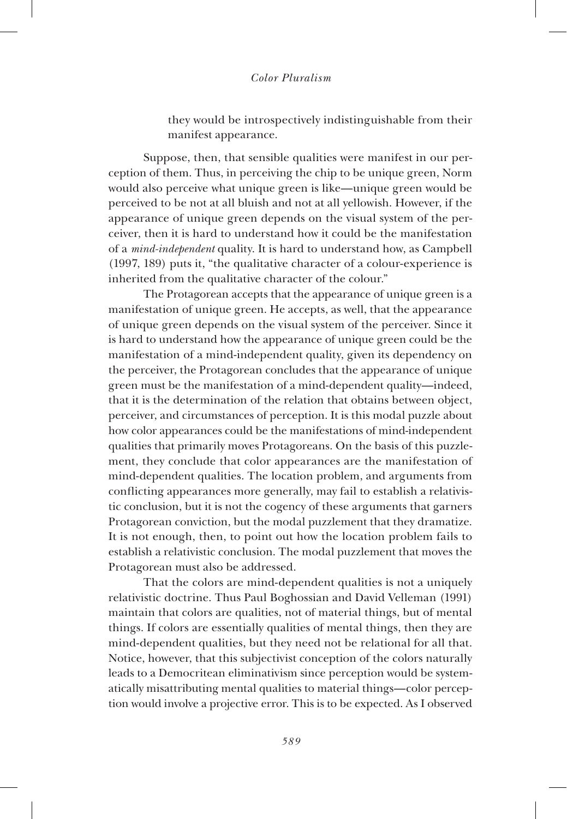they would be introspectively indistinguishable from their manifest appearance.

Suppose, then, that sensible qualities were manifest in our perception of them. Thus, in perceiving the chip to be unique green, Norm would also perceive what unique green is like—unique green would be perceived to be not at all bluish and not at all yellowish. However, if the appearance of unique green depends on the visual system of the perceiver, then it is hard to understand how it could be the manifestation of a *mind-independent* quality. It is hard to understand how, as Campbell (1997, 189) puts it, "the qualitative character of a colour-experience is inherited from the qualitative character of the colour."

The Protagorean accepts that the appearance of unique green is a manifestation of unique green. He accepts, as well, that the appearance of unique green depends on the visual system of the perceiver. Since it is hard to understand how the appearance of unique green could be the manifestation of a mind-independent quality, given its dependency on the perceiver, the Protagorean concludes that the appearance of unique green must be the manifestation of a mind-dependent quality—indeed, that it is the determination of the relation that obtains between object, perceiver, and circumstances of perception. It is this modal puzzle about how color appearances could be the manifestations of mind-independent qualities that primarily moves Protagoreans. On the basis of this puzzlement, they conclude that color appearances are the manifestation of mind-dependent qualities. The location problem, and arguments from conflicting appearances more generally, may fail to establish a relativistic conclusion, but it is not the cogency of these arguments that garners Protagorean conviction, but the modal puzzlement that they dramatize. It is not enough, then, to point out how the location problem fails to establish a relativistic conclusion. The modal puzzlement that moves the Protagorean must also be addressed.

That the colors are mind-dependent qualities is not a uniquely relativistic doctrine. Thus Paul Boghossian and David Velleman (1991) maintain that colors are qualities, not of material things, but of mental things. If colors are essentially qualities of mental things, then they are mind-dependent qualities, but they need not be relational for all that. Notice, however, that this subjectivist conception of the colors naturally leads to a Democritean eliminativism since perception would be systematically misattributing mental qualities to material things—color perception would involve a projective error. This is to be expected. As I observed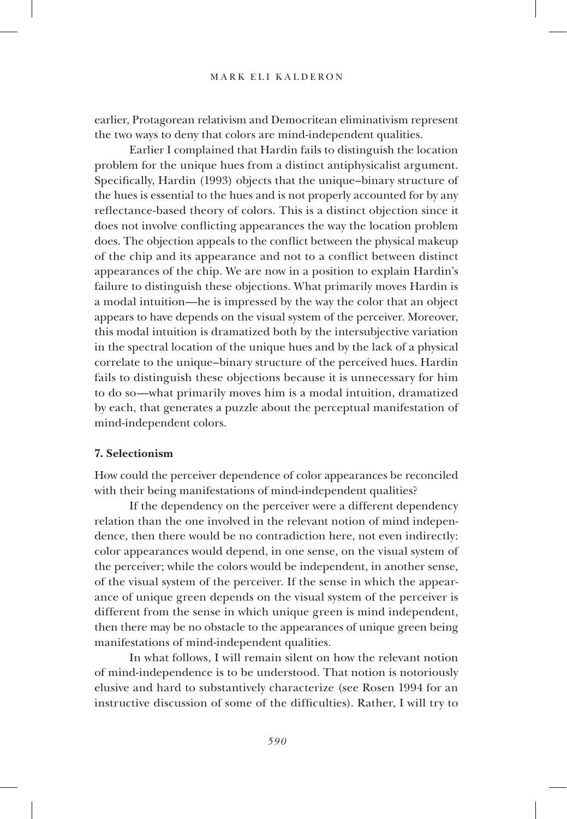earlier, Protagorean relativism and Democritean eliminativism represent the two ways to deny that colors are mind-independent qualities.

Earlier I complained that Hardin fails to distinguish the location problem for the unique hues from a distinct antiphysicalist argument. Specifically, Hardin (1993) objects that the unique–binary structure of the hues is essential to the hues and is not properly accounted for by any reflectance-based theory of colors. This is a distinct objection since it does not involve conflicting appearances the way the location problem does. The objection appeals to the conflict between the physical makeup of the chip and its appearance and not to a conflict between distinct appearances of the chip. We are now in a position to explain Hardin's failure to distinguish these objections. What primarily moves Hardin is a modal intuition—he is impressed by the way the color that an object appears to have depends on the visual system of the perceiver. Moreover, this modal intuition is dramatized both by the intersubjective variation in the spectral location of the unique hues and by the lack of a physical correlate to the unique–binary structure of the perceived hues. Hardin fails to distinguish these objections because it is unnecessary for him to do so—what primarily moves him is a modal intuition, dramatized by each, that generates a puzzle about the perceptual manifestation of mind-independent colors.

# **7. Selectionism**

How could the perceiver dependence of color appearances be reconciled with their being manifestations of mind-independent qualities?

If the dependency on the perceiver were a different dependency relation than the one involved in the relevant notion of mind independence, then there would be no contradiction here, not even indirectly: color appearances would depend, in one sense, on the visual system of the perceiver; while the colors would be independent, in another sense, of the visual system of the perceiver. If the sense in which the appearance of unique green depends on the visual system of the perceiver is different from the sense in which unique green is mind independent, then there may be no obstacle to the appearances of unique green being manifestations of mind-independent qualities.

In what follows, I will remain silent on how the relevant notion of mind-independence is to be understood. That notion is notoriously elusive and hard to substantively characterize (see Rosen 1994 for an instructive discussion of some of the difficulties). Rather, I will try to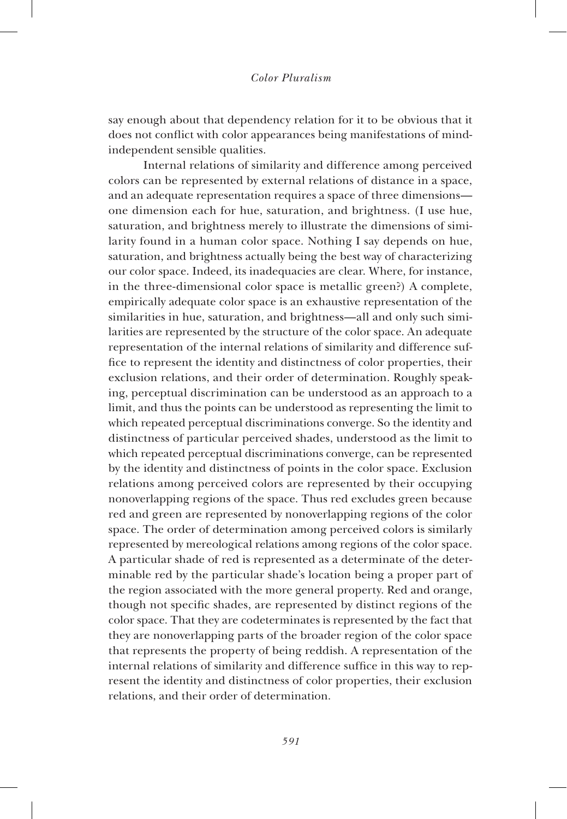say enough about that dependency relation for it to be obvious that it does not conflict with color appearances being manifestations of mindindependent sensible qualities.

Internal relations of similarity and difference among perceived colors can be represented by external relations of distance in a space, and an adequate representation requires a space of three dimensions one dimension each for hue, saturation, and brightness. (I use hue, saturation, and brightness merely to illustrate the dimensions of similarity found in a human color space. Nothing I say depends on hue, saturation, and brightness actually being the best way of characterizing our color space. Indeed, its inadequacies are clear. Where, for instance, in the three-dimensional color space is metallic green?) A complete, empirically adequate color space is an exhaustive representation of the similarities in hue, saturation, and brightness—all and only such similarities are represented by the structure of the color space. An adequate representation of the internal relations of similarity and difference suffice to represent the identity and distinctness of color properties, their exclusion relations, and their order of determination. Roughly speaking, perceptual discrimination can be understood as an approach to a limit, and thus the points can be understood as representing the limit to which repeated perceptual discriminations converge. So the identity and distinctness of particular perceived shades, understood as the limit to which repeated perceptual discriminations converge, can be represented by the identity and distinctness of points in the color space. Exclusion relations among perceived colors are represented by their occupying nonoverlapping regions of the space. Thus red excludes green because red and green are represented by nonoverlapping regions of the color space. The order of determination among perceived colors is similarly represented by mereological relations among regions of the color space. A particular shade of red is represented as a determinate of the determinable red by the particular shade's location being a proper part of the region associated with the more general property. Red and orange, though not specific shades, are represented by distinct regions of the color space. That they are codeterminates is represented by the fact that they are nonoverlapping parts of the broader region of the color space that represents the property of being reddish. A representation of the internal relations of similarity and difference suffice in this way to represent the identity and distinctness of color properties, their exclusion relations, and their order of determination.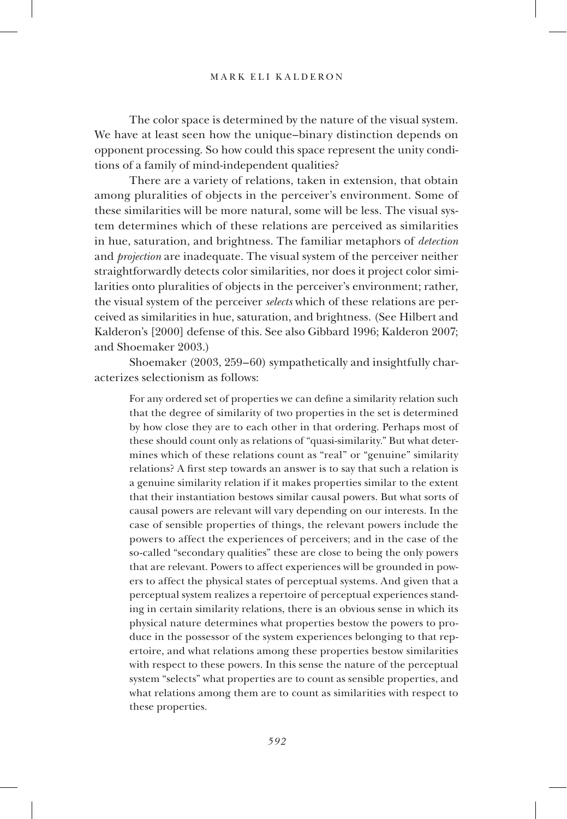The color space is determined by the nature of the visual system. We have at least seen how the unique–binary distinction depends on opponent processing. So how could this space represent the unity conditions of a family of mind-independent qualities?

There are a variety of relations, taken in extension, that obtain among pluralities of objects in the perceiver's environment. Some of these similarities will be more natural, some will be less. The visual system determines which of these relations are perceived as similarities in hue, saturation, and brightness. The familiar metaphors of *detection* and *projection* are inadequate. The visual system of the perceiver neither straightforwardly detects color similarities, nor does it project color similarities onto pluralities of objects in the perceiver's environment; rather, the visual system of the perceiver *selects* which of these relations are perceived as similarities in hue, saturation, and brightness. (See Hilbert and Kalderon's [2000] defense of this. See also Gibbard 1996; Kalderon 2007; and Shoemaker 2003.)

Shoemaker (2003, 259–60) sympathetically and insightfully characterizes selectionism as follows:

For any ordered set of properties we can define a similarity relation such that the degree of similarity of two properties in the set is determined by how close they are to each other in that ordering. Perhaps most of these should count only as relations of "quasi-similarity." But what determines which of these relations count as "real" or "genuine" similarity relations? A first step towards an answer is to say that such a relation is a genuine similarity relation if it makes properties similar to the extent that their instantiation bestows similar causal powers. But what sorts of causal powers are relevant will vary depending on our interests. In the case of sensible properties of things, the relevant powers include the powers to affect the experiences of perceivers; and in the case of the so-called "secondary qualities" these are close to being the only powers that are relevant. Powers to affect experiences will be grounded in powers to affect the physical states of perceptual systems. And given that a perceptual system realizes a repertoire of perceptual experiences standing in certain similarity relations, there is an obvious sense in which its physical nature determines what properties bestow the powers to produce in the possessor of the system experiences belonging to that repertoire, and what relations among these properties bestow similarities with respect to these powers. In this sense the nature of the perceptual system "selects" what properties are to count as sensible properties, and what relations among them are to count as similarities with respect to these properties.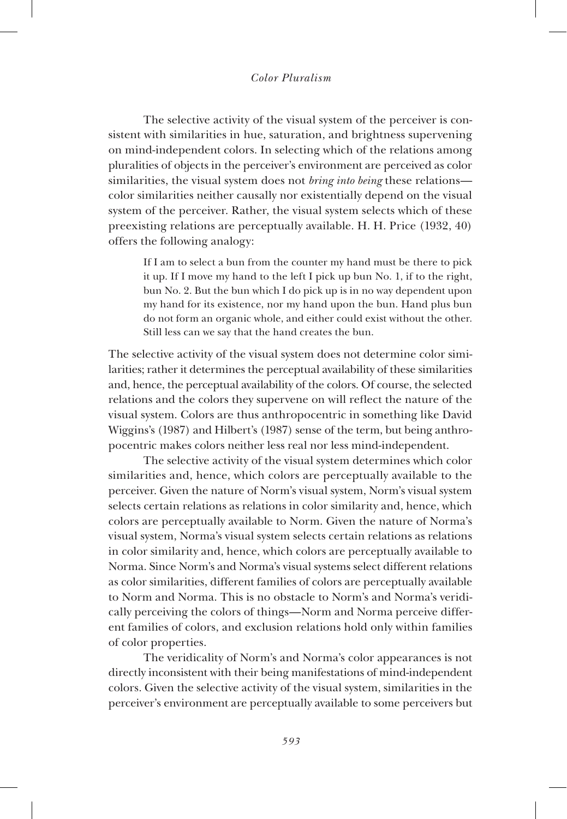The selective activity of the visual system of the perceiver is consistent with similarities in hue, saturation, and brightness supervening on mind-independent colors. In selecting which of the relations among pluralities of objects in the perceiver's environment are perceived as color similarities, the visual system does not *bring into being* these relations color similarities neither causally nor existentially depend on the visual system of the perceiver. Rather, the visual system selects which of these preexisting relations are perceptually available. H. H. Price (1932, 40) offers the following analogy:

If I am to select a bun from the counter my hand must be there to pick it up. If I move my hand to the left I pick up bun No. 1, if to the right, bun No. 2. But the bun which I do pick up is in no way dependent upon my hand for its existence, nor my hand upon the bun. Hand plus bun do not form an organic whole, and either could exist without the other. Still less can we say that the hand creates the bun.

The selective activity of the visual system does not determine color similarities; rather it determines the perceptual availability of these similarities and, hence, the perceptual availability of the colors. Of course, the selected relations and the colors they supervene on will reflect the nature of the visual system. Colors are thus anthropocentric in something like David Wiggins's (1987) and Hilbert's (1987) sense of the term, but being anthropocentric makes colors neither less real nor less mind-independent.

The selective activity of the visual system determines which color similarities and, hence, which colors are perceptually available to the perceiver. Given the nature of Norm's visual system, Norm's visual system selects certain relations as relations in color similarity and, hence, which colors are perceptually available to Norm. Given the nature of Norma's visual system, Norma's visual system selects certain relations as relations in color similarity and, hence, which colors are perceptually available to Norma. Since Norm's and Norma's visual systems select different relations as color similarities, different families of colors are perceptually available to Norm and Norma. This is no obstacle to Norm's and Norma's veridically perceiving the colors of things—Norm and Norma perceive different families of colors, and exclusion relations hold only within families of color properties.

The veridicality of Norm's and Norma's color appearances is not directly inconsistent with their being manifestations of mind-independent colors. Given the selective activity of the visual system, similarities in the perceiver's environment are perceptually available to some perceivers but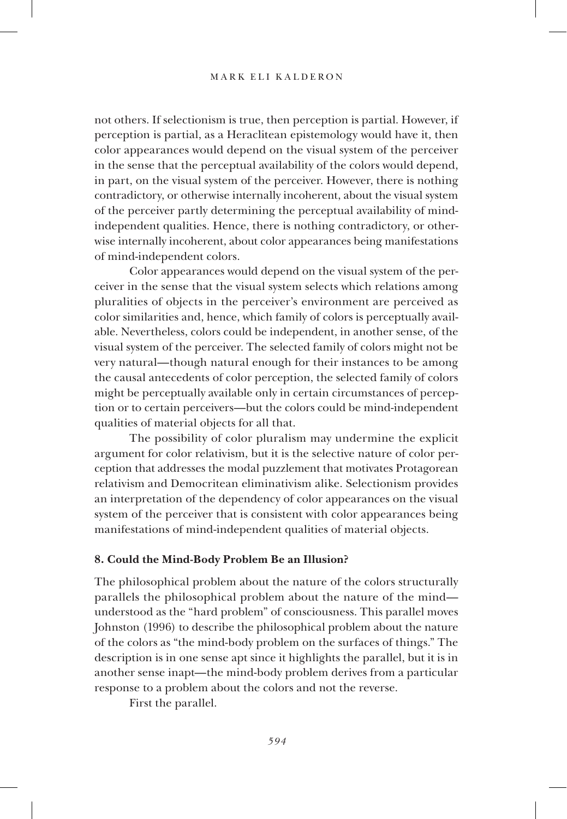not others. If selectionism is true, then perception is partial. However, if perception is partial, as a Heraclitean epistemology would have it, then color appearances would depend on the visual system of the perceiver in the sense that the perceptual availability of the colors would depend, in part, on the visual system of the perceiver. However, there is nothing contradictory, or otherwise internally incoherent, about the visual system of the perceiver partly determining the perceptual availability of mindindependent qualities. Hence, there is nothing contradictory, or otherwise internally incoherent, about color appearances being manifestations of mind-independent colors.

Color appearances would depend on the visual system of the perceiver in the sense that the visual system selects which relations among pluralities of objects in the perceiver's environment are perceived as color similarities and, hence, which family of colors is perceptually available. Nevertheless, colors could be independent, in another sense, of the visual system of the perceiver. The selected family of colors might not be very natural—though natural enough for their instances to be among the causal antecedents of color perception, the selected family of colors might be perceptually available only in certain circumstances of perception or to certain perceivers—but the colors could be mind-independent qualities of material objects for all that.

The possibility of color pluralism may undermine the explicit argument for color relativism, but it is the selective nature of color perception that addresses the modal puzzlement that motivates Protagorean relativism and Democritean eliminativism alike. Selectionism provides an interpretation of the dependency of color appearances on the visual system of the perceiver that is consistent with color appearances being manifestations of mind-independent qualities of material objects.

#### **8. Could the Mind-Body Problem Be an Illusion?**

The philosophical problem about the nature of the colors structurally parallels the philosophical problem about the nature of the mind understood as the "hard problem" of consciousness. This parallel moves Johnston (1996) to describe the philosophical problem about the nature of the colors as "the mind-body problem on the surfaces of things." The description is in one sense apt since it highlights the parallel, but it is in another sense inapt—the mind-body problem derives from a particular response to a problem about the colors and not the reverse.

First the parallel.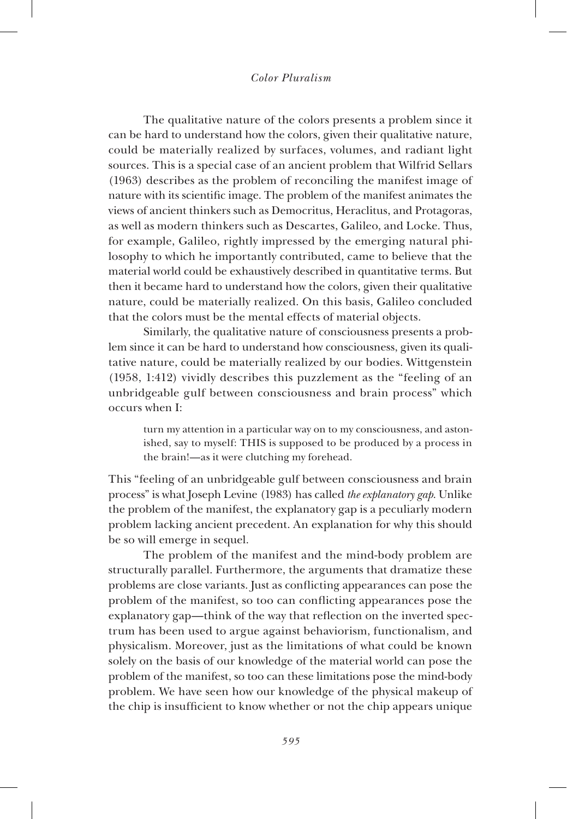The qualitative nature of the colors presents a problem since it can be hard to understand how the colors, given their qualitative nature, could be materially realized by surfaces, volumes, and radiant light sources. This is a special case of an ancient problem that Wilfrid Sellars (1963) describes as the problem of reconciling the manifest image of nature with its scientific image. The problem of the manifest animates the views of ancient thinkers such as Democritus, Heraclitus, and Protagoras, as well as modern thinkers such as Descartes, Galileo, and Locke. Thus, for example, Galileo, rightly impressed by the emerging natural philosophy to which he importantly contributed, came to believe that the material world could be exhaustively described in quantitative terms. But then it became hard to understand how the colors, given their qualitative nature, could be materially realized. On this basis, Galileo concluded that the colors must be the mental effects of material objects.

Similarly, the qualitative nature of consciousness presents a problem since it can be hard to understand how consciousness, given its qualitative nature, could be materially realized by our bodies. Wittgenstein (1958, 1:412) vividly describes this puzzlement as the "feeling of an unbridgeable gulf between consciousness and brain process" which occurs when I:

turn my attention in a particular way on to my consciousness, and astonished, say to myself: THIS is supposed to be produced by a process in the brain!—as it were clutching my forehead.

This "feeling of an unbridgeable gulf between consciousness and brain process" is what Joseph Levine (1983) has called *the explanatory gap*. Unlike the problem of the manifest, the explanatory gap is a peculiarly modern problem lacking ancient precedent. An explanation for why this should be so will emerge in sequel.

The problem of the manifest and the mind-body problem are structurally parallel. Furthermore, the arguments that dramatize these problems are close variants. Just as conflicting appearances can pose the problem of the manifest, so too can conflicting appearances pose the explanatory gap—think of the way that reflection on the inverted spectrum has been used to argue against behaviorism, functionalism, and physicalism. Moreover, just as the limitations of what could be known solely on the basis of our knowledge of the material world can pose the problem of the manifest, so too can these limitations pose the mind-body problem. We have seen how our knowledge of the physical makeup of the chip is insufficient to know whether or not the chip appears unique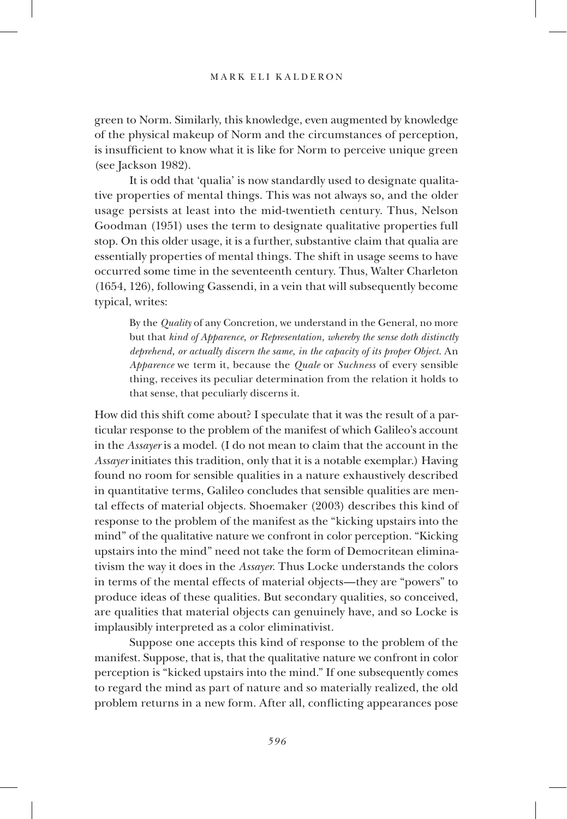green to Norm. Similarly, this knowledge, even augmented by knowledge of the physical makeup of Norm and the circumstances of perception, is insufficient to know what it is like for Norm to perceive unique green (see Jackson 1982).

It is odd that 'qualia' is now standardly used to designate qualitative properties of mental things. This was not always so, and the older usage persists at least into the mid-twentieth century. Thus, Nelson Goodman (1951) uses the term to designate qualitative properties full stop. On this older usage, it is a further, substantive claim that qualia are essentially properties of mental things. The shift in usage seems to have occurred some time in the seventeenth century. Thus, Walter Charleton (1654, 126), following Gassendi, in a vein that will subsequently become typical, writes:

By the *Quality* of any Concretion, we understand in the General, no more but that *kind of Apparence, or Representation, whereby the sense doth distinctly deprehend, or actually discern the same, in the capacity of its proper Object*. An *Apparence* we term it, because the *Quale* or *Suchness* of every sensible thing, receives its peculiar determination from the relation it holds to that sense, that peculiarly discerns it.

How did this shift come about? I speculate that it was the result of a particular response to the problem of the manifest of which Galileo's account in the *Assayer* is a model. (I do not mean to claim that the account in the *Assayer* initiates this tradition, only that it is a notable exemplar.) Having found no room for sensible qualities in a nature exhaustively described in quantitative terms, Galileo concludes that sensible qualities are mental effects of material objects. Shoemaker (2003) describes this kind of response to the problem of the manifest as the "kicking upstairs into the mind" of the qualitative nature we confront in color perception. "Kicking upstairs into the mind" need not take the form of Democritean eliminativism the way it does in the *Assayer*. Thus Locke understands the colors in terms of the mental effects of material objects—they are "powers" to produce ideas of these qualities. But secondary qualities, so conceived, are qualities that material objects can genuinely have, and so Locke is implausibly interpreted as a color eliminativist.

Suppose one accepts this kind of response to the problem of the manifest. Suppose, that is, that the qualitative nature we confront in color perception is "kicked upstairs into the mind." If one subsequently comes to regard the mind as part of nature and so materially realized, the old problem returns in a new form. After all, conflicting appearances pose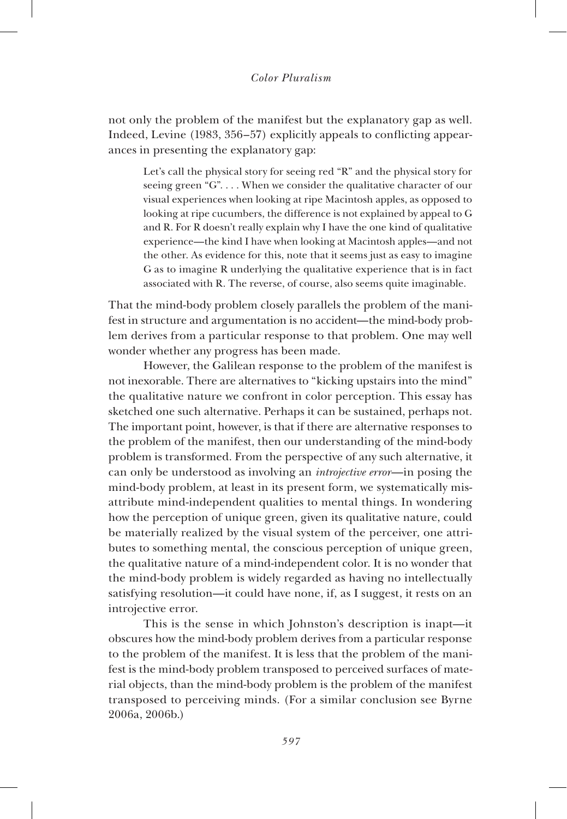not only the problem of the manifest but the explanatory gap as well. Indeed, Levine (1983, 356–57) explicitly appeals to conflicting appearances in presenting the explanatory gap:

Let's call the physical story for seeing red "R" and the physical story for seeing green "G". . . . When we consider the qualitative character of our visual experiences when looking at ripe Macintosh apples, as opposed to looking at ripe cucumbers, the difference is not explained by appeal to G and R. For R doesn't really explain why I have the one kind of qualitative experience—the kind I have when looking at Macintosh apples—and not the other. As evidence for this, note that it seems just as easy to imagine G as to imagine R underlying the qualitative experience that is in fact associated with R. The reverse, of course, also seems quite imaginable.

That the mind-body problem closely parallels the problem of the manifest in structure and argumentation is no accident—the mind-body problem derives from a particular response to that problem. One may well wonder whether any progress has been made.

However, the Galilean response to the problem of the manifest is not inexorable. There are alternatives to "kicking upstairs into the mind" the qualitative nature we confront in color perception. This essay has sketched one such alternative. Perhaps it can be sustained, perhaps not. The important point, however, is that if there are alternative responses to the problem of the manifest, then our understanding of the mind-body problem is transformed. From the perspective of any such alternative, it can only be understood as involving an *introjective error*—in posing the mind-body problem, at least in its present form, we systematically misattribute mind-independent qualities to mental things. In wondering how the perception of unique green, given its qualitative nature, could be materially realized by the visual system of the perceiver, one attributes to something mental, the conscious perception of unique green, the qualitative nature of a mind-independent color. It is no wonder that the mind-body problem is widely regarded as having no intellectually satisfying resolution—it could have none, if, as I suggest, it rests on an introjective error.

This is the sense in which Johnston's description is inapt—it obscures how the mind-body problem derives from a particular response to the problem of the manifest. It is less that the problem of the manifest is the mind-body problem transposed to perceived surfaces of material objects, than the mind-body problem is the problem of the manifest transposed to perceiving minds. (For a similar conclusion see Byrne 2006a, 2006b.)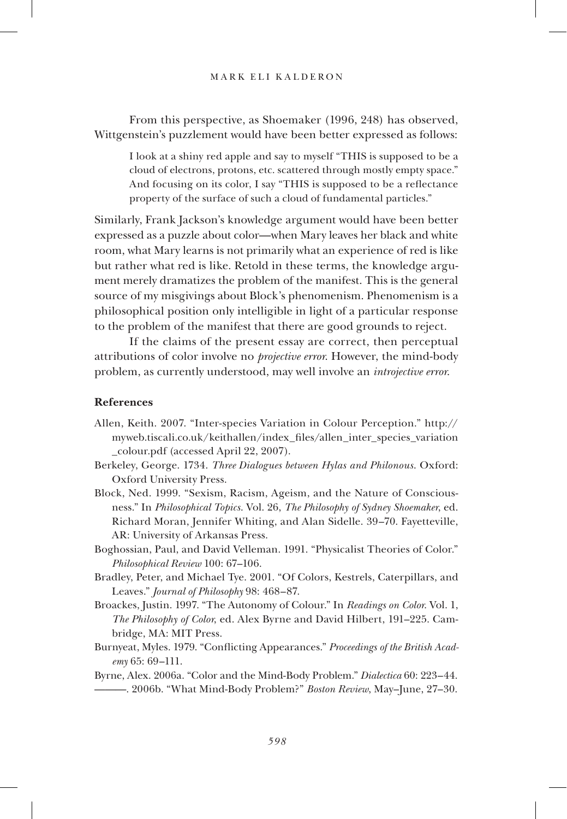From this perspective, as Shoemaker (1996, 248) has observed, Wittgenstein's puzzlement would have been better expressed as follows:

I look at a shiny red apple and say to myself "THIS is supposed to be a cloud of electrons, protons, etc. scattered through mostly empty space." And focusing on its color, I say "THIS is supposed to be a reflectance property of the surface of such a cloud of fundamental particles."

Similarly, Frank Jackson's knowledge argument would have been better expressed as a puzzle about color—when Mary leaves her black and white room, what Mary learns is not primarily what an experience of red is like but rather what red is like. Retold in these terms, the knowledge argument merely dramatizes the problem of the manifest. This is the general source of my misgivings about Block's phenomenism. Phenomenism is a philosophical position only intelligible in light of a particular response to the problem of the manifest that there are good grounds to reject.

If the claims of the present essay are correct, then perceptual attributions of color involve no *projective error*. However, the mind-body problem, as currently understood, may well involve an *introjective error*.

#### **References**

- Allen, Keith. 2007. "Inter-species Variation in Colour Perception." http:// myweb.tiscali.co.uk/keithallen/index\_files/allen\_inter\_species\_variation \_colour.pdf (accessed April 22, 2007).
- Berkeley, George. 1734. *Three Dialogues between Hylas and Philonous*. Oxford: Oxford University Press.
- Block, Ned. 1999. "Sexism, Racism, Ageism, and the Nature of Consciousness." In *Philosophical Topics*. Vol. 26, *The Philosophy of Sydney Shoemaker*, ed. Richard Moran, Jennifer Whiting, and Alan Sidelle. 39–70. Fayetteville, AR: University of Arkansas Press.
- Boghossian, Paul, and David Velleman. 1991. "Physicalist Theories of Color." *Philosophical Review* 100: 67–106.
- Bradley, Peter, and Michael Tye. 2001. "Of Colors, Kestrels, Caterpillars, and Leaves." *Journal of Philosophy* 98: 468–87.
- Broackes, Justin. 1997. "The Autonomy of Colour." In *Readings on Color*. Vol. 1, *The Philosophy of Color*, ed. Alex Byrne and David Hilbert, 191–225. Cambridge, MA: MIT Press.
- Burnyeat, Myles. 1979. "Conflicting Appearances." *Proceedings of the British Academy* 65: 69–111.
- Byrne, Alex. 2006a. "Color and the Mind-Body Problem." *Dialectica* 60: 223–44.
- ———. 2006b. "What Mind-Body Problem?" *Boston Review*, May–June, 27–30.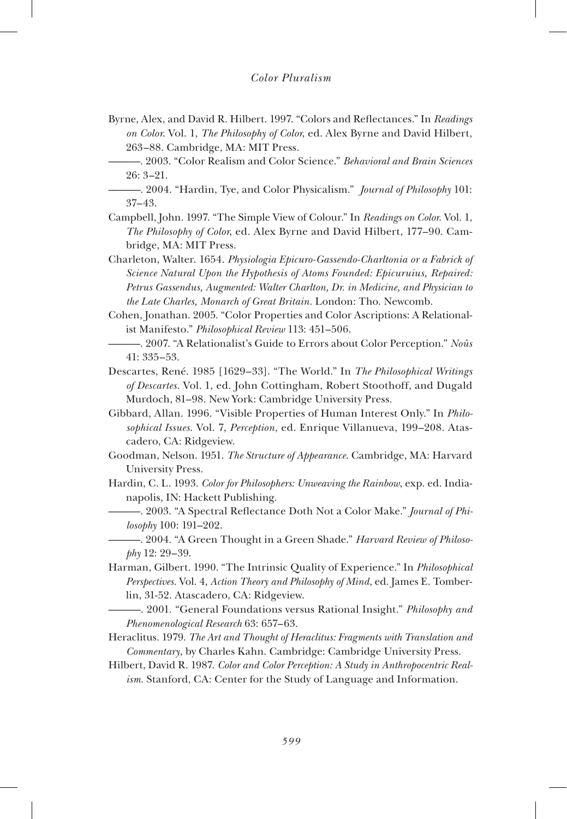- Byrne, Alex, and David R. Hilbert. 1997. "Colors and Reflectances." In *Readings on Color*. Vol. 1, *The Philosophy of Color*, ed. Alex Byrne and David Hilbert, 263–88. Cambridge, MA: MIT Press.
	- ———. 2003. "Color Realism and Color Science." *Behavioral and Brain Sciences* 26: 3–21.
- ———. 2004. "Hardin, Tye, and Color Physicalism." *Journal of Philosophy* 101: 37–43.
- Campbell, John. 1997. "The Simple View of Colour." In *Readings on Color*. Vol. 1, *The Philosophy of Color*, ed. Alex Byrne and David Hilbert, 177–90. Cambridge, MA: MIT Press.
- Charleton, Walter. 1654. *Physiologia Epicuro-Gassendo-Charltonia or a Fabrick of Science Natural Upon the Hypothesis of Atoms Founded: Epicuruius, Repaired: Petrus Gassendus, Augmented: Walter Charlton, Dr. in Medicine, and Physician to the Late Charles, Monarch of Great Britain*. London: Tho. Newcomb.
- Cohen, Jonathan. 2005. "Color Properties and Color Ascriptions: A Relationalist Manifesto." *Philosophical Review* 113: 451–506.
- ———. 2007. "A Relationalist's Guide to Errors about Color Perception." *Noûs*  41: 335–53.
- Descartes, René. 1985 [1629–33]. "The World." In *The Philosophical Writings of Descartes*. Vol. 1, ed. John Cottingham, Robert Stoothoff, and Dugald Murdoch, 81–98. New York: Cambridge University Press.
- Gibbard, Allan. 1996. "Visible Properties of Human Interest Only." In *Philosophical Issues*. Vol. 7, *Perception*, ed. Enrique Villanueva, 199–208. Atascadero, CA: Ridgeview.
- Goodman, Nelson. 1951. *The Structure of Appearance*. Cambridge, MA: Harvard University Press.
- Hardin, C. L. 1993. *Color for Philosophers: Unweaving the Rainbow*, exp. ed. Indianapolis, IN: Hackett Publishing.
- ———. 2003. "A Spectral Reflectance Doth Not a Color Make." *Journal of Philosophy* 100: 191–202.
- ———. 2004. "A Green Thought in a Green Shade." *Harvard Review of Philosophy* 12: 29–39.
- Harman, Gilbert. 1990. "The Intrinsic Quality of Experience." In *Philosophical Perspectives*. Vol. 4, *Action Theory and Philosophy of Mind*, ed. James E. Tomberlin, 31-52. Atascadero, CA: Ridgeview.
	- ———. 2001. "General Foundations versus Rational Insight." *Philosophy and Phenomenological Research* 63: 657–63.
- Heraclitus. 1979. *The Art and Thought of Heraclitus: Fragments with Translation and Commentary*, by Charles Kahn. Cambridge: Cambridge University Press.
- Hilbert, David R. 1987. *Color and Color Perception: A Study in Anthropocentric Realism*. Stanford, CA: Center for the Study of Language and Information.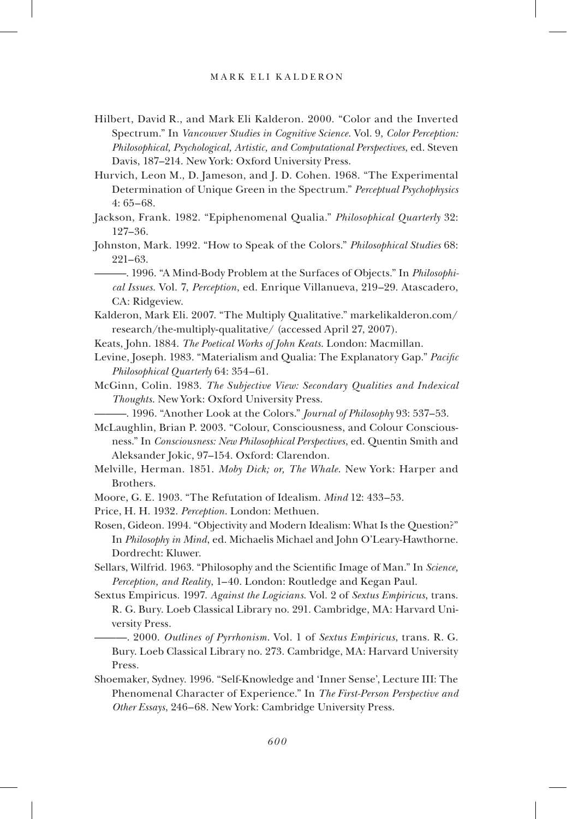- Hilbert, David R., and Mark Eli Kalderon. 2000. "Color and the Inverted Spectrum." In *Vancouver Studies in Cognitive Science*. Vol. 9, *Color Perception: Philosophical, Psychological, Artistic, and Computational Perspectives*, ed. Steven Davis, 187–214. New York: Oxford University Press.
- Hurvich, Leon M., D. Jameson, and J. D. Cohen. 1968. "The Experimental Determination of Unique Green in the Spectrum." *Perceptual Psychophysics* 4: 65–68.
- Jackson, Frank. 1982. "Epiphenomenal Qualia." *Philosophical Quarterly* 32: 127–36.
- Johnston, Mark. 1992. "How to Speak of the Colors." *Philosophical Studies* 68: 221–63.
	- ———. 1996. "A Mind-Body Problem at the Surfaces of Objects." In *Philosophical Issues*. Vol. 7, *Perception*, ed. Enrique Villanueva, 219–29. Atascadero, CA: Ridgeview.
- Kalderon, Mark Eli. 2007. "The Multiply Qualitative." markelikalderon.com/ research/the-multiply-qualitative/ (accessed April 27, 2007).
- Keats, John. 1884. *The Poetical Works of John Keats*. London: Macmillan.
- Levine, Joseph. 1983. "Materialism and Qualia: The Explanatory Gap." *Pacific Philosophical Quarterly* 64: 354–61.
- McGinn, Colin. 1983. *The Subjective View: Secondary Qualities and Indexical Thoughts*. New York: Oxford University Press.
	- ———. 1996. "Another Look at the Colors." *Journal of Philosophy* 93: 537–53.
- McLaughlin, Brian P. 2003. "Colour, Consciousness, and Colour Consciousness." In *Consciousness: New Philosophical Perspectives*, ed. Quentin Smith and Aleksander Jokic, 97–154. Oxford: Clarendon.
- Melville, Herman. 1851. *Moby Dick; or, The Whale*. New York: Harper and Brothers.
- Moore, G. E. 1903. "The Refutation of Idealism. *Mind* 12: 433–53.
- Price, H. H. 1932. *Perception*. London: Methuen.
- Rosen, Gideon. 1994. "Objectivity and Modern Idealism: What Is the Question?" In *Philosophy in Mind*, ed. Michaelis Michael and John O'Leary-Hawthorne. Dordrecht: Kluwer.

Sellars, Wilfrid. 1963. "Philosophy and the Scientific Image of Man." In *Science, Perception, and Reality*, 1–40. London: Routledge and Kegan Paul.

Sextus Empiricus. 1997. *Against the Logicians*. Vol. 2 of *Sextus Empiricus*, trans. R. G. Bury. Loeb Classical Library no. 291. Cambridge, MA: Harvard University Press.

———. 2000. *Outlines of Pyrrhonism*. Vol. 1 of *Sextus Empiricus*, trans. R. G. Bury. Loeb Classical Library no. 273. Cambridge, MA: Harvard University Press.

Shoemaker, Sydney. 1996. "Self-Knowledge and 'Inner Sense', Lecture III: The Phenomenal Character of Experience." In *The First-Person Perspective and Other Essays*, 246–68. New York: Cambridge University Press.